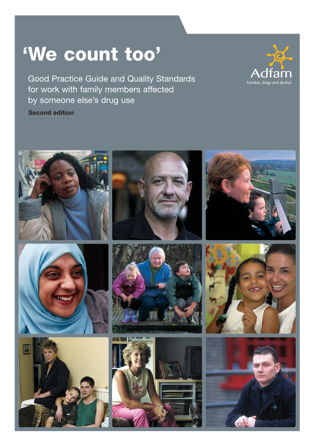# **'We count too'**

Good Practice Guide and Quality Standards for work with family members affected by someone else's drug use **Second edition**



Families, drugs and al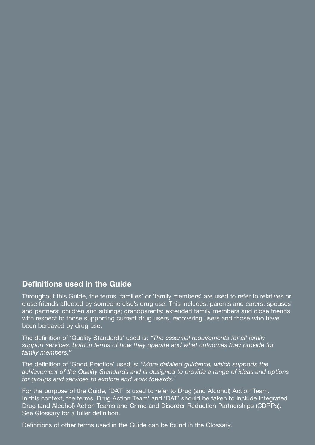#### **Definitions used in the Guide**

Throughout this Guide, the terms 'families' or 'family members' are used to refer to relatives or close friends affected by someone else's drug use. This includes: parents and carers; spouses and partners; children and siblings; grandparents; extended family members and close friends with respect to those supporting current drug users, recovering users and those who have been bereaved by drug use.

The definition of 'Quality Standards' used is: *"The essential requirements for all family support services, both in terms of how they operate and what outcomes they provide for family members."*

The definition of 'Good Practice' used is: *"More detailed guidance, which supports the achievement of the Quality Standards and is designed to provide a range of ideas and options for groups and services to explore and work towards."*

For the purpose of the Guide, 'DAT' is used to refer to Drug (and Alcohol) Action Team. In this context, the terms 'Drug Action Team' and 'DAT' should be taken to include integrated Drug (and Alcohol) Action Teams and Crime and Disorder Reduction Partnerships (CDRPs). See Glossary for a fuller definition.

Definitions of other terms used in the Guide can be found in the Glossary.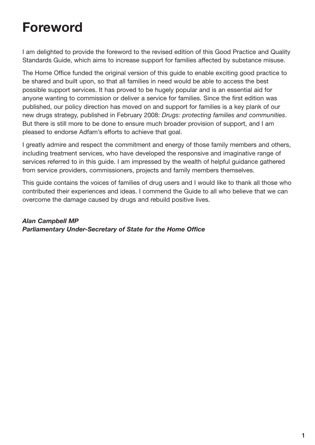## **Foreword**

I am delighted to provide the foreword to the revised edition of this Good Practice and Quality Standards Guide, which aims to increase support for families affected by substance misuse.

The Home Office funded the original version of this guide to enable exciting good practice to be shared and built upon, so that all families in need would be able to access the best possible support services. It has proved to be hugely popular and is an essential aid for anyone wanting to commission or deliver a service for families. Since the first edition was published, our policy direction has moved on and support for families is a key plank of our new drugs strategy, published in February 2008: *Drugs: protecting families and communities*. But there is still more to be done to ensure much broader provision of support, and I am pleased to endorse Adfam's efforts to achieve that goal.

I greatly admire and respect the commitment and energy of those family members and others, including treatment services, who have developed the responsive and imaginative range of services referred to in this guide. I am impressed by the wealth of helpful guidance gathered from service providers, commissioners, projects and family members themselves.

This guide contains the voices of families of drug users and I would like to thank all those who contributed their experiences and ideas. I commend the Guide to all who believe that we can overcome the damage caused by drugs and rebuild positive lives.

*Alan Campbell MP Parliamentary Under-Secretary of State for the Home Office*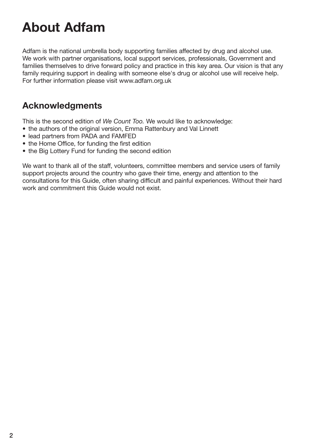# **About Adfam**

Adfam is the national umbrella body supporting families affected by drug and alcohol use. We work with partner organisations, local support services, professionals, Government and families themselves to drive forward policy and practice in this key area. Our vision is that any family requiring support in dealing with someone else's drug or alcohol use will receive help. For further information please visit www.adfam.org.uk

## **Acknowledgments**

This is the second edition of *We Count Too.* We would like to acknowledge:

- the authors of the original version, Emma Rattenbury and Val Linnett
- lead partners from PADA and FAMFED
- the Home Office, for funding the first edition
- the Big Lottery Fund for funding the second edition

We want to thank all of the staff, volunteers, committee members and service users of family support projects around the country who gave their time, energy and attention to the consultations for this Guide, often sharing difficult and painful experiences. Without their hard work and commitment this Guide would not exist.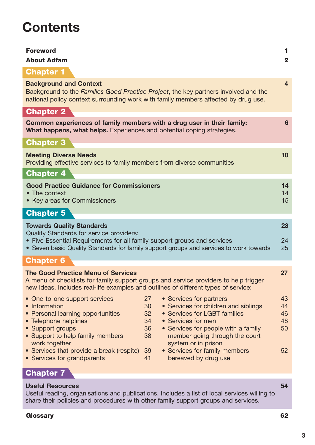## **Contents**

| <b>Background and Context</b><br>4<br>Background to the Families Good Practice Project, the key partners involved and the<br>national policy context surrounding work with family members affected by drug use.<br><b>Chapter 2</b><br>Common experiences of family members with a drug user in their family:<br>6<br>What happens, what helps. Experiences and potential coping strategies.<br><b>Chapter 3</b><br><b>Meeting Diverse Needs</b><br>10<br>Providing effective services to family members from diverse communities<br><b>Chapter 4</b><br><b>Good Practice Guidance for Commissioners</b><br>14<br>• The context<br>14<br>15<br>• Key areas for Commissioners<br><b>Chapter 5</b><br><b>Towards Quality Standards</b><br>23<br>Quality Standards for service providers:<br>• Five Essential Requirements for all family support groups and services<br>24<br>• Seven basic Quality Standards for family support groups and services to work towards<br>25<br><b>Chapter 6</b><br><b>The Good Practice Menu of Services</b><br>27<br>A menu of checklists for family support groups and service providers to help trigger<br>new ideas. Includes real-life examples and outlines of different types of service:<br>27<br>• Services for partners<br>43<br>• One-to-one support services<br>• Services for children and siblings<br>• Information<br>30<br>44<br>• Services for LGBT families<br>• Personal learning opportunities<br>32<br>46<br>• Telephone helplines<br>34<br>• Services for men<br>48<br>• Services for people with a family<br>• Support groups<br>36<br>50<br>• Support to help family members<br>38<br>member going through the court<br>work together<br>system or in prison<br>• Services that provide a break (respite)<br>• Services for family members<br>52<br>39<br>• Services for grandparents<br>bereaved by drug use<br>41<br><b>Chapter 7</b> | <b>Foreword</b><br><b>About Adfam</b> | 1<br>$\mathbf{2}$ |
|----------------------------------------------------------------------------------------------------------------------------------------------------------------------------------------------------------------------------------------------------------------------------------------------------------------------------------------------------------------------------------------------------------------------------------------------------------------------------------------------------------------------------------------------------------------------------------------------------------------------------------------------------------------------------------------------------------------------------------------------------------------------------------------------------------------------------------------------------------------------------------------------------------------------------------------------------------------------------------------------------------------------------------------------------------------------------------------------------------------------------------------------------------------------------------------------------------------------------------------------------------------------------------------------------------------------------------------------------------------------------------------------------------------------------------------------------------------------------------------------------------------------------------------------------------------------------------------------------------------------------------------------------------------------------------------------------------------------------------------------------------------------------------------------------------------------------------------------------------------------------------------------|---------------------------------------|-------------------|
|                                                                                                                                                                                                                                                                                                                                                                                                                                                                                                                                                                                                                                                                                                                                                                                                                                                                                                                                                                                                                                                                                                                                                                                                                                                                                                                                                                                                                                                                                                                                                                                                                                                                                                                                                                                                                                                                                              | <b>Chapter 1</b>                      |                   |
|                                                                                                                                                                                                                                                                                                                                                                                                                                                                                                                                                                                                                                                                                                                                                                                                                                                                                                                                                                                                                                                                                                                                                                                                                                                                                                                                                                                                                                                                                                                                                                                                                                                                                                                                                                                                                                                                                              |                                       |                   |
|                                                                                                                                                                                                                                                                                                                                                                                                                                                                                                                                                                                                                                                                                                                                                                                                                                                                                                                                                                                                                                                                                                                                                                                                                                                                                                                                                                                                                                                                                                                                                                                                                                                                                                                                                                                                                                                                                              |                                       |                   |
|                                                                                                                                                                                                                                                                                                                                                                                                                                                                                                                                                                                                                                                                                                                                                                                                                                                                                                                                                                                                                                                                                                                                                                                                                                                                                                                                                                                                                                                                                                                                                                                                                                                                                                                                                                                                                                                                                              |                                       |                   |
|                                                                                                                                                                                                                                                                                                                                                                                                                                                                                                                                                                                                                                                                                                                                                                                                                                                                                                                                                                                                                                                                                                                                                                                                                                                                                                                                                                                                                                                                                                                                                                                                                                                                                                                                                                                                                                                                                              |                                       |                   |
|                                                                                                                                                                                                                                                                                                                                                                                                                                                                                                                                                                                                                                                                                                                                                                                                                                                                                                                                                                                                                                                                                                                                                                                                                                                                                                                                                                                                                                                                                                                                                                                                                                                                                                                                                                                                                                                                                              |                                       |                   |
|                                                                                                                                                                                                                                                                                                                                                                                                                                                                                                                                                                                                                                                                                                                                                                                                                                                                                                                                                                                                                                                                                                                                                                                                                                                                                                                                                                                                                                                                                                                                                                                                                                                                                                                                                                                                                                                                                              |                                       |                   |
|                                                                                                                                                                                                                                                                                                                                                                                                                                                                                                                                                                                                                                                                                                                                                                                                                                                                                                                                                                                                                                                                                                                                                                                                                                                                                                                                                                                                                                                                                                                                                                                                                                                                                                                                                                                                                                                                                              |                                       |                   |
|                                                                                                                                                                                                                                                                                                                                                                                                                                                                                                                                                                                                                                                                                                                                                                                                                                                                                                                                                                                                                                                                                                                                                                                                                                                                                                                                                                                                                                                                                                                                                                                                                                                                                                                                                                                                                                                                                              |                                       |                   |
|                                                                                                                                                                                                                                                                                                                                                                                                                                                                                                                                                                                                                                                                                                                                                                                                                                                                                                                                                                                                                                                                                                                                                                                                                                                                                                                                                                                                                                                                                                                                                                                                                                                                                                                                                                                                                                                                                              |                                       |                   |
|                                                                                                                                                                                                                                                                                                                                                                                                                                                                                                                                                                                                                                                                                                                                                                                                                                                                                                                                                                                                                                                                                                                                                                                                                                                                                                                                                                                                                                                                                                                                                                                                                                                                                                                                                                                                                                                                                              |                                       |                   |
|                                                                                                                                                                                                                                                                                                                                                                                                                                                                                                                                                                                                                                                                                                                                                                                                                                                                                                                                                                                                                                                                                                                                                                                                                                                                                                                                                                                                                                                                                                                                                                                                                                                                                                                                                                                                                                                                                              |                                       |                   |
|                                                                                                                                                                                                                                                                                                                                                                                                                                                                                                                                                                                                                                                                                                                                                                                                                                                                                                                                                                                                                                                                                                                                                                                                                                                                                                                                                                                                                                                                                                                                                                                                                                                                                                                                                                                                                                                                                              |                                       |                   |
|                                                                                                                                                                                                                                                                                                                                                                                                                                                                                                                                                                                                                                                                                                                                                                                                                                                                                                                                                                                                                                                                                                                                                                                                                                                                                                                                                                                                                                                                                                                                                                                                                                                                                                                                                                                                                                                                                              |                                       |                   |
|                                                                                                                                                                                                                                                                                                                                                                                                                                                                                                                                                                                                                                                                                                                                                                                                                                                                                                                                                                                                                                                                                                                                                                                                                                                                                                                                                                                                                                                                                                                                                                                                                                                                                                                                                                                                                                                                                              | <b>Useful Resources</b>               | 54                |

Useful reading, organisations and publications. Includes a list of local services willing to share their policies and procedures with other family support groups and services.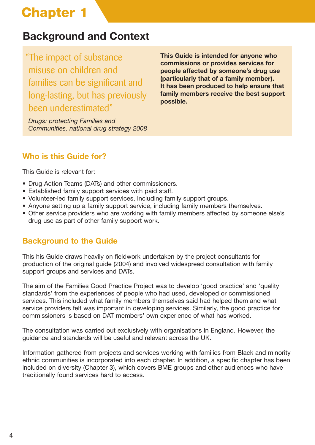## **Background and Context**

"The impact of substance misuse on children and families can be significant and long-lasting, but has previously been underestimated"

*Drugs: protecting Families and Communities, national drug strategy 2008*

**This Guide is intended for anyone who commissions or provides services for people affected by someone's drug use (particularly that of a family member). It has been produced to help ensure that family members receive the best support possible.** 

## **Who is this Guide for?**

This Guide is relevant for:

- Drug Action Teams (DATs) and other commissioners.
- Established family support services with paid staff.
- Volunteer-led family support services, including family support groups.
- Anyone setting up a family support service, including family members themselves.
- Other service providers who are working with family members affected by someone else's drug use as part of other family support work.

## **Background to the Guide**

This his Guide draws heavily on fieldwork undertaken by the project consultants for production of the original guide (2004) and involved widespread consultation with family support groups and services and DATs.

The aim of the Families Good Practice Project was to develop 'good practice' and 'quality standards' from the experiences of people who had used, developed or commissioned services. This included what family members themselves said had helped them and what service providers felt was important in developing services. Similarly, the good practice for commissioners is based on DAT members' own experience of what has worked.

The consultation was carried out exclusively with organisations in England. However, the guidance and standards will be useful and relevant across the UK.

Information gathered from projects and services working with families from Black and minority ethnic communities is incorporated into each chapter. In addition, a specific chapter has been included on diversity (Chapter 3), which covers BME groups and other audiences who have traditionally found services hard to access.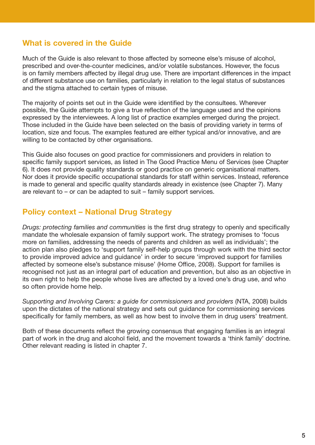### **What is covered in the Guide**

Much of the Guide is also relevant to those affected by someone else's misuse of alcohol, prescribed and over-the-counter medicines, and/or volatile substances. However, the focus is on family members affected by illegal drug use. There are important differences in the impact of different substance use on families, particularly in relation to the legal status of substances and the stigma attached to certain types of misuse.

The majority of points set out in the Guide were identified by the consultees. Wherever possible, the Guide attempts to give a true reflection of the language used and the opinions expressed by the interviewees. A long list of practice examples emerged during the project. Those included in the Guide have been selected on the basis of providing variety in terms of location, size and focus. The examples featured are either typical and/or innovative, and are willing to be contacted by other organisations.

This Guide also focuses on good practice for commissioners and providers in relation to specific family support services, as listed in The Good Practice Menu of Services (see Chapter 6). It does not provide quality standards or good practice on generic organisational matters. Nor does it provide specific occupational standards for staff within services. Instead, reference is made to general and specific quality standards already in existence (see Chapter 7). Many are relevant to – or can be adapted to suit – family support services.

### **Policy context – National Drug Strategy**

*Drugs: protecting families and communities* is the first drug strategy to openly and specifically mandate the wholesale expansion of family support work. The strategy promises to 'focus more on families, addressing the needs of parents and children as well as individuals'; the action plan also pledges to 'support family self-help groups through work with the third sector to provide improved advice and guidance' in order to secure 'improved support for families affected by someone else's substance misuse' (Home Office, 2008). Support for families is recognised not just as an integral part of education and prevention, but also as an objective in its own right to help the people whose lives are affected by a loved one's drug use, and who so often provide home help.

*Supporting and Involving Carers: a guide for commissioners and providers* (NTA, 2008) builds upon the dictates of the national strategy and sets out guidance for commissioning services specifically for family members, as well as how best to involve them in drug users' treatment.

Both of these documents reflect the growing consensus that engaging families is an integral part of work in the drug and alcohol field, and the movement towards a 'think family' doctrine. Other relevant reading is listed in chapter 7.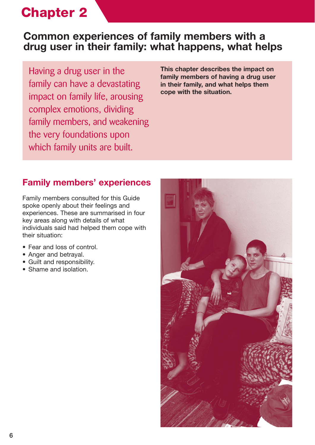## **Common experiences of family members with a drug user in their family: what happens, what helps**

Having a drug user in the family can have a devastating impact on family life, arousing complex emotions, dividing family members, and weakening the very foundations upon which family units are built.

**This chapter describes the impact on family members of having a drug user in their family, and what helps them cope with the situation.**

## **Family members' experiences**

Family members consulted for this Guide spoke openly about their feelings and experiences. These are summarised in four key areas along with details of what individuals said had helped them cope with their situation:

- Fear and loss of control.
- Anger and betrayal.
- Guilt and responsibility.
- Shame and isolation.

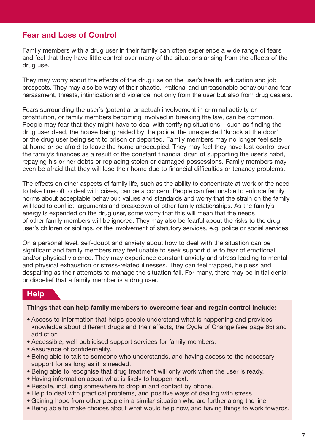### **Fear and Loss of Control**

Family members with a drug user in their family can often experience a wide range of fears and feel that they have little control over many of the situations arising from the effects of the drug use.

They may worry about the effects of the drug use on the user's health, education and job prospects. They may also be wary of their chaotic, irrational and unreasonable behaviour and fear harassment, threats, intimidation and violence, not only from the user but also from drug dealers.

Fears surrounding the user's (potential or actual) involvement in criminal activity or prostitution, or family members becoming involved in breaking the law, can be common. People may fear that they might have to deal with terrifying situations – such as finding the drug user dead, the house being raided by the police, the unexpected 'knock at the door' or the drug user being sent to prison or deported. Family members may no longer feel safe at home or be afraid to leave the home unoccupied. They may feel they have lost control over the family's finances as a result of the constant financial drain of supporting the user's habit, repaying his or her debts or replacing stolen or damaged possessions. Family members may even be afraid that they will lose their home due to financial difficulties or tenancy problems.

The effects on other aspects of family life, such as the ability to concentrate at work or the need to take time off to deal with crises, can be a concern. People can feel unable to enforce family norms about acceptable behaviour, values and standards and worry that the strain on the family will lead to conflict, arguments and breakdown of other family relationships. As the family's energy is expended on the drug user, some worry that this will mean that the needs of other family members will be ignored. They may also be fearful about the risks to the drug user's children or siblings, or the involvement of statutory services, e.g. police or social services.

On a personal level, self-doubt and anxiety about how to deal with the situation can be significant and family members may feel unable to seek support due to fear of emotional and/or physical violence. They may experience constant anxiety and stress leading to mental and physical exhaustion or stress-related illnesses. They can feel trapped, helpless and despairing as their attempts to manage the situation fail. For many, there may be initial denial or disbelief that a family member is a drug user.

#### **Help**

#### **Things that can help family members to overcome fear and regain control include:**

- Access to information that helps people understand what is happening and provides knowledge about different drugs and their effects, the Cycle of Change (see page 65) and addiction.
- Accessible, well-publicised support services for family members.
- Assurance of confidentiality.
- Being able to talk to someone who understands, and having access to the necessary support for as long as it is needed.
- Being able to recognise that drug treatment will only work when the user is ready.
- Having information about what is likely to happen next.
- Respite, including somewhere to drop in and contact by phone.
- Help to deal with practical problems, and positive ways of dealing with stress.
- Gaining hope from other people in a similar situation who are further along the line.
- Being able to make choices about what would help now, and having things to work towards.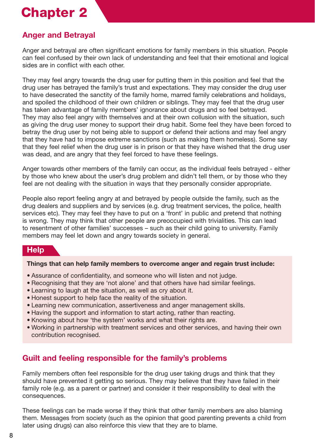## **Anger and Betrayal**

Anger and betrayal are often significant emotions for family members in this situation. People can feel confused by their own lack of understanding and feel that their emotional and logical sides are in conflict with each other.

They may feel angry towards the drug user for putting them in this position and feel that the drug user has betrayed the family's trust and expectations. They may consider the drug user to have desecrated the sanctity of the family home, marred family celebrations and holidays, and spoiled the childhood of their own children or siblings. They may feel that the drug user has taken advantage of family members' ignorance about drugs and so feel betrayed. They may also feel angry with themselves and at their own collusion with the situation, such as giving the drug user money to support their drug habit. Some feel they have been forced to betray the drug user by not being able to support or defend their actions and may feel angry that they have had to impose extreme sanctions (such as making them homeless). Some say that they feel relief when the drug user is in prison or that they have wished that the drug user was dead, and are angry that they feel forced to have these feelings.

Anger towards other members of the family can occur, as the individual feels betrayed - either by those who knew about the user's drug problem and didn't tell them, or by those who they feel are not dealing with the situation in ways that they personally consider appropriate.

People also report feeling angry at and betrayed by people outside the family, such as the drug dealers and suppliers and by services (e.g. drug treatment services, the police, health services etc). They may feel they have to put on a 'front' in public and pretend that nothing is wrong. They may think that other people are preoccupied with trivialities. This can lead to resentment of other families' successes – such as their child going to university. Family members may feel let down and angry towards society in general.

#### **Help**

#### **Things that can help family members to overcome anger and regain trust include:**

- Assurance of confidentiality, and someone who will listen and not judge.
- Recognising that they are 'not alone' and that others have had similar feelings.
- Learning to laugh at the situation, as well as cry about it.
- Honest support to help face the reality of the situation.
- Learning new communication, assertiveness and anger management skills.
- Having the support and information to start acting, rather than reacting.
- Knowing about how 'the system' works and what their rights are.
- Working in partnership with treatment services and other services, and having their own contribution recognised.

### **Guilt and feeling responsible for the family's problems**

Family members often feel responsible for the drug user taking drugs and think that they should have prevented it getting so serious. They may believe that they have failed in their family role (e.g. as a parent or partner) and consider it their responsibility to deal with the consequences.

These feelings can be made worse if they think that other family members are also blaming them. Messages from society (such as the opinion that good parenting prevents a child from later using drugs) can also reinforce this view that they are to blame.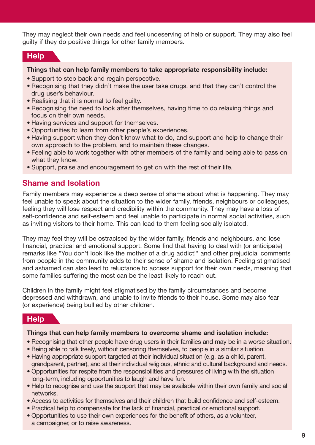They may neglect their own needs and feel undeserving of help or support. They may also feel guilty if they do positive things for other family members.

#### **Help**

#### **Things that can help family members to take appropriate responsibility include:**

- Support to step back and regain perspective.
- Recognising that they didn't make the user take drugs, and that they can't control the drug user's behaviour.
- Realising that it is normal to feel guilty.
- Recognising the need to look after themselves, having time to do relaxing things and focus on their own needs.
- Having services and support for themselves.
- Opportunities to learn from other people's experiences.
- Having support when they don't know what to do, and support and help to change their own approach to the problem, and to maintain these changes.
- Feeling able to work together with other members of the family and being able to pass on what they know.
- Support, praise and encouragement to get on with the rest of their life.

#### **Shame and Isolation**

Family members may experience a deep sense of shame about what is happening. They may feel unable to speak about the situation to the wider family, friends, neighbours or colleagues, feeling they will lose respect and credibility within the community. They may have a loss of self-confidence and self-esteem and feel unable to participate in normal social activities, such as inviting visitors to their home. This can lead to them feeling socially isolated.

They may feel they will be ostracised by the wider family, friends and neighbours, and lose financial, practical and emotional support. Some find that having to deal with (or anticipate) remarks like "You don't look like the mother of a drug addict!" and other prejudicial comments from people in the community adds to their sense of shame and isolation. Feeling stigmatised and ashamed can also lead to reluctance to access support for their own needs, meaning that some families suffering the most can be the least likely to reach out.

Children in the family might feel stigmatised by the family circumstances and become depressed and withdrawn, and unable to invite friends to their house. Some may also fear (or experience) being bullied by other children.

#### **Help**

#### **Things that can help family members to overcome shame and isolation include:**

- Recognising that other people have drug users in their families and may be in a worse situation.
- Being able to talk freely, without censoring themselves, to people in a similar situation.
- Having appropriate support targeted at their individual situation (e.g. as a child, parent, grandparent, partner), and at their individual religious, ethnic and cultural background and needs.
- Opportunities for respite from the responsibilities and pressures of living with the situation long-term, including opportunities to laugh and have fun.
- Help to recognise and use the support that may be available within their own family and social networks.
- Access to activities for themselves and their children that build confidence and self-esteem.
- Practical help to compensate for the lack of financial, practical or emotional support.
- Opportunities to use their own experiences for the benefit of others, as a volunteer, a campaigner, or to raise awareness.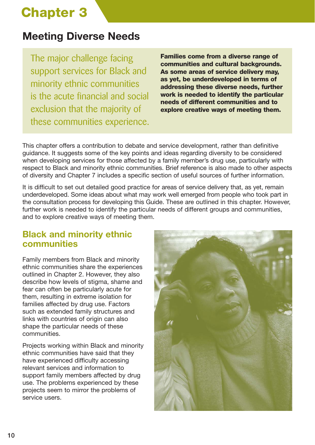## **Meeting Diverse Needs**

The major challenge facing support services for Black and minority ethnic communities is the acute financial and social exclusion that the majority of these communities experience.

**Families come from a diverse range of communities and cultural backgrounds. As some areas of service delivery may, as yet, be underdeveloped in terms of addressing these diverse needs, further work is needed to identify the particular needs of different communities and to explore creative ways of meeting them.** 

This chapter offers a contribution to debate and service development, rather than definitive guidance. It suggests some of the key points and ideas regarding diversity to be considered when developing services for those affected by a family member's drug use, particularly with respect to Black and minority ethnic communities. Brief reference is also made to other aspects of diversity and Chapter 7 includes a specific section of useful sources of further information.

It is difficult to set out detailed good practice for areas of service delivery that, as yet, remain underdeveloped. Some ideas about what may work well emerged from people who took part in the consultation process for developing this Guide. These are outlined in this chapter. However, further work is needed to identify the particular needs of different groups and communities, and to explore creative ways of meeting them.

## **Black and minority ethnic communities**

Family members from Black and minority ethnic communities share the experiences outlined in Chapter 2. However, they also describe how levels of stigma, shame and fear can often be particularly acute for them, resulting in extreme isolation for families affected by drug use. Factors such as extended family structures and links with countries of origin can also shape the particular needs of these communities.

Projects working within Black and minority ethnic communities have said that they have experienced difficulty accessing relevant services and information to support family members affected by drug use. The problems experienced by these projects seem to mirror the problems of service users.

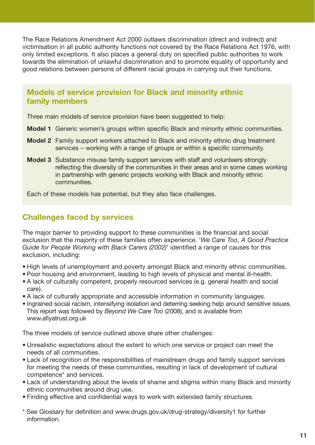The Race Relations Amendment Act 2000 outlaws discrimination (direct and indirect) and victimisation in all public authority functions not covered by the Race Relations Act 1976, with only limited exceptions. It also places a general duty on specified public authorities to work towards the elimination of unlawful discrimination and to promote equality of opportunity and good relations between persons of different racial groups in carrying out their functions.

### **Models of service provision for Black and minority ethnic family members**

Three main models of service provision have been suggested to help:

- **Model 1** Generic women's groups within specific Black and minority ethnic communities.
- **Model 2** Family support workers attached to Black and minority ethnic drug treatment services – working with a range of groups or within a specific community.
- **Model 3** Substance misuse family support services with staff and volunteers strongly reflecting the diversity of the communities in their areas and in some cases working in partnership with generic projects working with Black and minority ethnic communities.

Each of these models has potential, but they also face challenges.

### **Challenges faced by services**

The major barrier to providing support to these communities is the financial and social exclusion that the majority of these families often experience. '*We Care Too, A Good Practice Guide for People Working with Black Carers (2002)*' identified a range of causes for this exclusion, including:

- High levels of unemployment and poverty amongst Black and minority ethnic communities.
- Poor housing and environment, leading to high levels of physical and mental ill-health.
- A lack of culturally competent, properly resourced services (e.g. general health and social care).
- A lack of culturally appropriate and accessible information in community languages.
- Ingrained social racism, intensifying isolation and deterring seeking help around sensitive issues. This report was followed by *Beyond We Care Too* (2008), and is available from www.afiyatrust.org.uk

The three models of service outlined above share other challenges:

- Unrealistic expectations about the extent to which one service or project can meet the needs of all communities.
- Lack of recognition of the responsibilities of mainstream drugs and family support services for meeting the needs of these communities, resulting in lack of development of cultural competence\* and services.
- Lack of understanding about the levels of shame and stigma within many Black and minority ethnic communities around drug use.
- Finding effective and confidential ways to work with extended family structures.
- \* See Glossary for definition and www.drugs.gov.uk/drug-strategy/diversity1 for further information.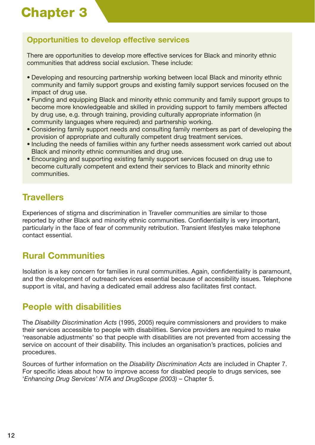## **Opportunities to develop effective services**

There are opportunities to develop more effective services for Black and minority ethnic communities that address social exclusion. These include:

- Developing and resourcing partnership working between local Black and minority ethnic community and family support groups and existing family support services focused on the impact of drug use.
- Funding and equipping Black and minority ethnic community and family support groups to become more knowledgeable and skilled in providing support to family members affected by drug use, e.g. through training, providing culturally appropriate information (in community languages where required) and partnership working.
- Considering family support needs and consulting family members as part of developing the provision of appropriate and culturally competent drug treatment services.
- Including the needs of families within any further needs assessment work carried out about Black and minority ethnic communities and drug use.
- Encouraging and supporting existing family support services focused on drug use to become culturally competent and extend their services to Black and minority ethnic communities.

## **Travellers**

Experiences of stigma and discrimination in Traveller communities are similar to those reported by other Black and minority ethnic communities. Confidentiality is very important, particularly in the face of fear of community retribution. Transient lifestyles make telephone contact essential.

## **Rural Communities**

Isolation is a key concern for families in rural communities. Again, confidentiality is paramount, and the development of outreach services essential because of accessibility issues. Telephone support is vital, and having a dedicated email address also facilitates first contact.

## **People with disabilities**

The *Disability Discrimination Acts* (1995, 2005) require commissioners and providers to make their services accessible to people with disabilities. Service providers are required to make 'reasonable adjustments' so that people with disabilities are not prevented from accessing the service on account of their disability. This includes an organisation's practices, policies and procedures.

Sources of further information on the *Disability Discrimination Acts* are included in Chapter 7. For specific ideas about how to improve access for disabled people to drugs services, see '*Enhancing Drug Services' NTA and DrugScope (2003)* – Chapter 5.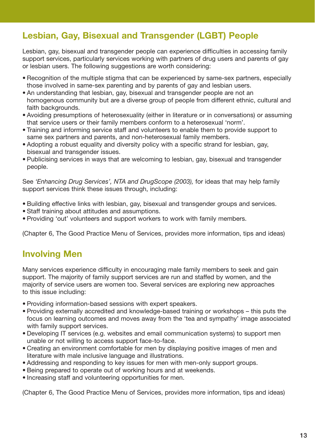## **Lesbian, Gay, Bisexual and Transgender (LGBT) People**

Lesbian, gay, bisexual and transgender people can experience difficulties in accessing family support services, particularly services working with partners of drug users and parents of gay or lesbian users. The following suggestions are worth considering:

- Recognition of the multiple stigma that can be experienced by same-sex partners, especially those involved in same-sex parenting and by parents of gay and lesbian users.
- An understanding that lesbian, gay, bisexual and transgender people are not an homogenous community but are a diverse group of people from different ethnic, cultural and faith backgrounds.
- Avoiding presumptions of heterosexuality (either in literature or in conversations) or assuming that service users or their family members conform to a heterosexual 'norm'.
- Training and informing service staff and volunteers to enable them to provide support to same sex partners and parents, and non-heterosexual family members.
- Adopting a robust equality and diversity policy with a specific strand for lesbian, gay, bisexual and transgender issues.
- Publicising services in ways that are welcoming to lesbian, gay, bisexual and transgender people.

See *'Enhancing Drug Services', NTA and DrugScope (2003),* for ideas that may help family support services think these issues through, including:

- Building effective links with lesbian, gay, bisexual and transgender groups and services.
- Staff training about attitudes and assumptions.
- Providing 'out' volunteers and support workers to work with family members.

(Chapter 6, The Good Practice Menu of Services, provides more information, tips and ideas)

## **Involving Men**

Many services experience difficulty in encouraging male family members to seek and gain support. The majority of family support services are run and staffed by women, and the majority of service users are women too. Several services are exploring new approaches to this issue including:

- Providing information-based sessions with expert speakers.
- Providing externally accredited and knowledge-based training or workshops this puts the focus on learning outcomes and moves away from the 'tea and sympathy' image associated with family support services.
- Developing IT services (e.g. websites and email communication systems) to support men unable or not willing to access support face-to-face.
- Creating an environment comfortable for men by displaying positive images of men and literature with male inclusive language and illustrations.
- Addressing and responding to key issues for men with men-only support groups.
- Being prepared to operate out of working hours and at weekends.
- Increasing staff and volunteering opportunities for men.

(Chapter 6, The Good Practice Menu of Services, provides more information, tips and ideas)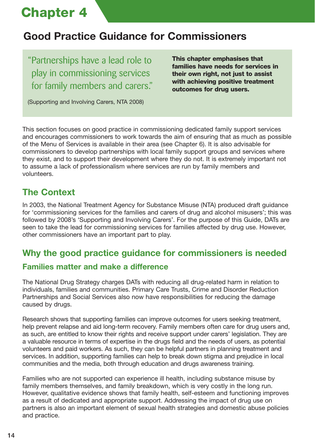## **Good Practice Guidance for Commissioners**

"Partnerships have a lead role to play in commissioning services for family members and carers." **This chapter emphasises that families have needs for services in their own right, not just to assist with achieving positive treatment outcomes for drug users.** 

(Supporting and Involving Carers, NTA 2008)

This section focuses on good practice in commissioning dedicated family support services and encourages commissioners to work towards the aim of ensuring that as much as possible of the Menu of Services is available in their area (see Chapter 6). It is also advisable for commissioners to develop partnerships with local family support groups and services where they exist, and to support their development where they do not. It is extremely important not to assume a lack of professionalism where services are run by family members and volunteers.

## **The Context**

In 2003, the National Treatment Agency for Substance Misuse (NTA) produced draft guidance for 'commissioning services for the families and carers of drug and alcohol misusers'; this was followed by 2008's 'Supporting and Involving Carers'. For the purpose of this Guide, DATs are seen to take the lead for commissioning services for families affected by drug use. However, other commissioners have an important part to play.

## **Why the good practice guidance for commissioners is needed**

## **Families matter and make a difference**

The National Drug Strategy charges DATs with reducing all drug-related harm in relation to individuals, families and communities. Primary Care Trusts, Crime and Disorder Reduction Partnerships and Social Services also now have responsibilities for reducing the damage caused by drugs.

Research shows that supporting families can improve outcomes for users seeking treatment, help prevent relapse and aid long-term recovery. Family members often care for drug users and, as such, are entitled to know their rights and receive support under carers' legislation. They are a valuable resource in terms of expertise in the drugs field and the needs of users, as potential volunteers and paid workers. As such, they can be helpful partners in planning treatment and services. In addition, supporting families can help to break down stigma and prejudice in local communities and the media, both through education and drugs awareness training.

Families who are not supported can experience ill health, including substance misuse by family members themselves, and family breakdown, which is very costly in the long run. However, qualitative evidence shows that family health, self-esteem and functioning improves as a result of dedicated and appropriate support. Addressing the impact of drug use on partners is also an important element of sexual health strategies and domestic abuse policies and practice.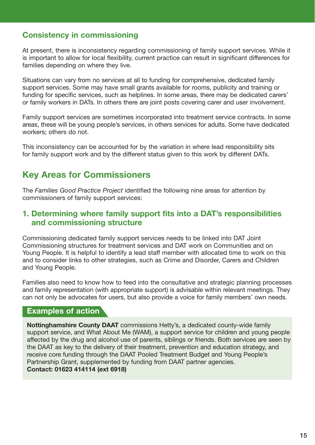### **Consistency in commissioning**

At present, there is inconsistency regarding commissioning of family support services. While it is important to allow for local flexibility, current practice can result in significant differences for families depending on where they live.

Situations can vary from no services at all to funding for comprehensive, dedicated family support services. Some may have small grants available for rooms, publicity and training or funding for specific services, such as helplines. In some areas, there may be dedicated carers' or family workers in DATs. In others there are joint posts covering carer and user involvement.

Family support services are sometimes incorporated into treatment service contracts. In some areas, these will be young people's services, in others services for adults. Some have dedicated workers; others do not.

This inconsistency can be accounted for by the variation in where lead responsibility sits for family support work and by the different status given to this work by different DATs.

## **Key Areas for Commissioners**

The *Families Good Practice Project* identified the following nine areas for attention by commissioners of family support services:

#### **1. Determining where family support fits into a DAT's responsibilities and commissioning structure**

Commissioning dedicated family support services needs to be linked into DAT Joint Commissioning structures for treatment services and DAT work on Communities and on Young People. It is helpful to identify a lead staff member with allocated time to work on this and to consider links to other strategies, such as Crime and Disorder, Carers and Children and Young People.

Families also need to know how to feed into the consultative and strategic planning processes and family representation (with appropriate support) is advisable within relevant meetings. They can not only be advocates for users, but also provide a voice for family members' own needs.

### **Examples of action**

**Nottinghamshire County DAAT** commissions Hetty's, a dedicated county-wide family support service, and What About Me (WAM), a support service for children and young people affected by the drug and alcohol use of parents, siblings or friends. Both services are seen by the DAAT as key to the delivery of their treatment, prevention and education strategy, and receive core funding through the DAAT Pooled Treatment Budget and Young People's Partnership Grant, supplemented by funding from DAAT partner agencies.

**Contact: 01623 414114 (ext 6918)**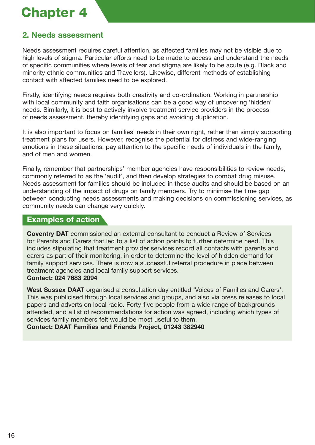## **2. Needs assessment**

Needs assessment requires careful attention, as affected families may not be visible due to high levels of stigma. Particular efforts need to be made to access and understand the needs of specific communities where levels of fear and stigma are likely to be acute (e.g. Black and minority ethnic communities and Travellers). Likewise, different methods of establishing contact with affected families need to be explored.

Firstly, identifying needs requires both creativity and co-ordination. Working in partnership with local community and faith organisations can be a good way of uncovering 'hidden' needs. Similarly, it is best to actively involve treatment service providers in the process of needs assessment, thereby identifying gaps and avoiding duplication.

It is also important to focus on families' needs in their own right, rather than simply supporting treatment plans for users. However, recognise the potential for distress and wide-ranging emotions in these situations; pay attention to the specific needs of individuals in the family, and of men and women.

Finally, remember that partnerships' member agencies have responsibilities to review needs, commonly referred to as the 'audit', and then develop strategies to combat drug misuse. Needs assessment for families should be included in these audits and should be based on an understanding of the impact of drugs on family members. Try to minimise the time gap between conducting needs assessments and making decisions on commissioning services, as community needs can change very quickly.

#### **Examples of action**

**Coventry DAT** commissioned an external consultant to conduct a Review of Services for Parents and Carers that led to a list of action points to further determine need. This includes stipulating that treatment provider services record all contacts with parents and carers as part of their monitoring, in order to determine the level of hidden demand for family support services. There is now a successful referral procedure in place between treatment agencies and local family support services. **Contact: 024 7683 2094**

**West Sussex DAAT** organised a consultation day entitled 'Voices of Families and Carers'. This was publicised through local services and groups, and also via press releases to local papers and adverts on local radio. Forty-five people from a wide range of backgrounds attended, and a list of recommendations for action was agreed, including which types of services family members felt would be most useful to them.

**Contact: DAAT Families and Friends Project, 01243 382940**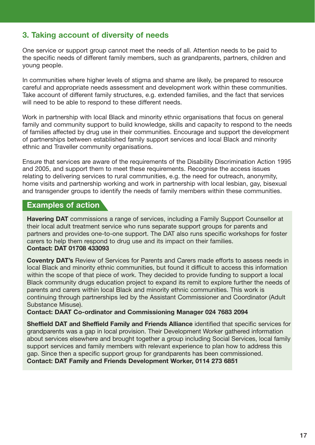## **3. Taking account of diversity of needs**

One service or support group cannot meet the needs of all. Attention needs to be paid to the specific needs of different family members, such as grandparents, partners, children and young people.

In communities where higher levels of stigma and shame are likely, be prepared to resource careful and appropriate needs assessment and development work within these communities. Take account of different family structures, e.g. extended families, and the fact that services will need to be able to respond to these different needs.

Work in partnership with local Black and minority ethnic organisations that focus on general family and community support to build knowledge, skills and capacity to respond to the needs of families affected by drug use in their communities. Encourage and support the development of partnerships between established family support services and local Black and minority ethnic and Traveller community organisations.

Ensure that services are aware of the requirements of the Disability Discrimination Action 1995 and 2005, and support them to meet these requirements. Recognise the access issues relating to delivering services to rural communities, e.g. the need for outreach, anonymity, home visits and partnership working and work in partnership with local lesbian, gay, bisexual and transgender groups to identify the needs of family members within these communities.

#### **Examples of action**

**Havering DAT** commissions a range of services, including a Family Support Counsellor at their local adult treatment service who runs separate support groups for parents and partners and provides one-to-one support. The DAT also runs specific workshops for foster carers to help them respond to drug use and its impact on their families. **Contact: DAT 01708 433093**

**Coventry DAT's** Review of Services for Parents and Carers made efforts to assess needs in local Black and minority ethnic communities, but found it difficult to access this information within the scope of that piece of work. They decided to provide funding to support a local Black community drugs education project to expand its remit to explore further the needs of parents and carers within local Black and minority ethnic communities. This work is continuing through partnerships led by the Assistant Commissioner and Coordinator (Adult Substance Misuse).

**Contact: DAAT Co-ordinator and Commissioning Manager 024 7683 2094**

**Sheffield DAT and Sheffield Family and Friends Alliance** identified that specific services for grandparents was a gap in local provision. Their Development Worker gathered information about services elsewhere and brought together a group including Social Services, local family support services and family members with relevant experience to plan how to address this gap. Since then a specific support group for grandparents has been commissioned. **Contact: DAT Family and Friends Development Worker, 0114 273 6851**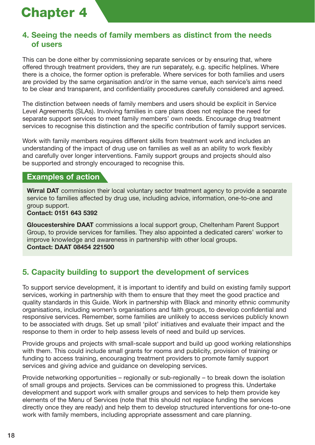### **4. Seeing the needs of family members as distinct from the needs of users**

This can be done either by commissioning separate services or by ensuring that, where offered through treatment providers, they are run separately, e.g. specific helplines. Where there is a choice, the former option is preferable. Where services for both families and users are provided by the same organisation and/or in the same venue, each service's aims need to be clear and transparent, and confidentiality procedures carefully considered and agreed.

The distinction between needs of family members and users should be explicit in Service Level Agreements (SLAs). Involving families in care plans does not replace the need for separate support services to meet family members' own needs. Encourage drug treatment services to recognise this distinction and the specific contribution of family support services.

Work with family members requires different skills from treatment work and includes an understanding of the impact of drug use on families as well as an ability to work flexibly and carefully over longer interventions. Family support groups and projects should also be supported and strongly encouraged to recognise this.

#### **Examples of action**

**Wirral DAT** commission their local voluntary sector treatment agency to provide a separate service to families affected by drug use, including advice, information, one-to-one and group support.

#### **Contact: 0151 643 5392**

**Gloucestershire DAAT** commissions a local support group, Cheltenham Parent Support Group, to provide services for families. They also appointed a dedicated carers' worker to improve knowledge and awareness in partnership with other local groups. **Contact: DAAT 08454 221500** 

### **5. Capacity building to support the development of services**

To support service development, it is important to identify and build on existing family support services, working in partnership with them to ensure that they meet the good practice and quality standards in this Guide. Work in partnership with Black and minority ethnic community organisations, including women's organisations and faith groups, to develop confidential and responsive services. Remember, some families are unlikely to access services publicly known to be associated with drugs. Set up small 'pilot' initiatives and evaluate their impact and the response to them in order to help assess levels of need and build up services.

Provide groups and projects with small-scale support and build up good working relationships with them. This could include small grants for rooms and publicity, provision of training or funding to access training, encouraging treatment providers to promote family support services and giving advice and guidance on developing services.

Provide networking opportunities – regionally or sub-regionally – to break down the isolation of small groups and projects. Services can be commissioned to progress this. Undertake development and support work with smaller groups and services to help them provide key elements of the Menu of Services (note that this should not replace funding the services directly once they are ready) and help them to develop structured interventions for one-to-one work with family members, including appropriate assessment and care planning.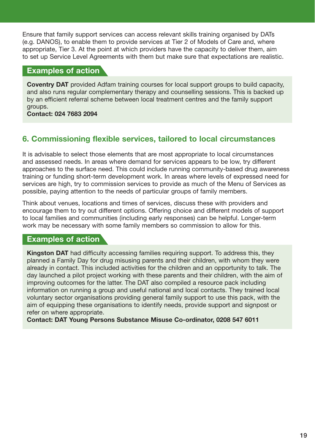Ensure that family support services can access relevant skills training organised by DATs (e.g. DANOS), to enable them to provide services at Tier 2 of Models of Care and, where appropriate, Tier 3. At the point at which providers have the capacity to deliver them, aim to set up Service Level Agreements with them but make sure that expectations are realistic.

#### **Examples of action**

**Coventry DAT** provided Adfam training courses for local support groups to build capacity, and also runs regular complementary therapy and counselling sessions. This is backed up by an efficient referral scheme between local treatment centres and the family support groups.

**Contact: 024 7683 2094**

### **6. Commissioning flexible services, tailored to local circumstances**

It is advisable to select those elements that are most appropriate to local circumstances and assessed needs. In areas where demand for services appears to be low, try different approaches to the surface need. This could include running community-based drug awareness training or funding short-term development work. In areas where levels of expressed need for services are high, try to commission services to provide as much of the Menu of Services as possible, paying attention to the needs of particular groups of family members.

Think about venues, locations and times of services, discuss these with providers and encourage them to try out different options. Offering choice and different models of support to local families and communities (including early responses) can be helpful. Longer-term work may be necessary with some family members so commission to allow for this.

#### **Examples of action**

**Kingston DAT** had difficulty accessing families requiring support. To address this, they planned a Family Day for drug misusing parents and their children, with whom they were already in contact. This included activities for the children and an opportunity to talk. The day launched a pilot project working with these parents and their children, with the aim of improving outcomes for the latter. The DAT also compiled a resource pack including information on running a group and useful national and local contacts. They trained local voluntary sector organisations providing general family support to use this pack, with the aim of equipping these organisations to identify needs, provide support and signpost or refer on where appropriate.

**Contact: DAT Young Persons Substance Misuse Co-ordinator, 0208 547 6011**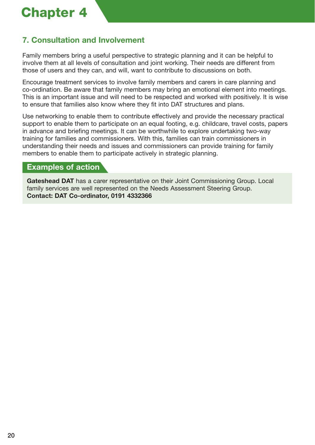## **7. Consultation and Involvement**

Family members bring a useful perspective to strategic planning and it can be helpful to involve them at all levels of consultation and joint working. Their needs are different from those of users and they can, and will, want to contribute to discussions on both.

Encourage treatment services to involve family members and carers in care planning and co-ordination. Be aware that family members may bring an emotional element into meetings. This is an important issue and will need to be respected and worked with positively. It is wise to ensure that families also know where they fit into DAT structures and plans.

Use networking to enable them to contribute effectively and provide the necessary practical support to enable them to participate on an equal footing, e.g. childcare, travel costs, papers in advance and briefing meetings. It can be worthwhile to explore undertaking two-way training for families and commissioners. With this, families can train commissioners in understanding their needs and issues and commissioners can provide training for family members to enable them to participate actively in strategic planning.

#### **Examples of action**

**Gateshead DAT** has a carer representative on their Joint Commissioning Group. Local family services are well represented on the Needs Assessment Steering Group. **Contact: DAT Co-ordinator, 0191 4332366**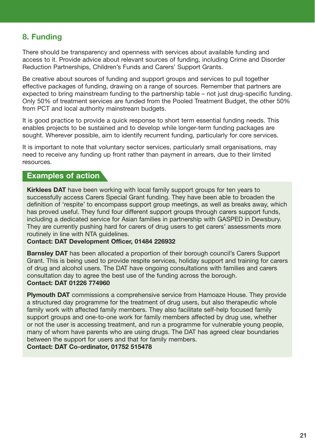### **8. Funding**

There should be transparency and openness with services about available funding and access to it. Provide advice about relevant sources of funding, including Crime and Disorder Reduction Partnerships, Children's Funds and Carers' Support Grants.

Be creative about sources of funding and support groups and services to pull together effective packages of funding, drawing on a range of sources. Remember that partners are expected to bring mainstream funding to the partnership table – not just drug-specific funding. Only 50% of treatment services are funded from the Pooled Treatment Budget, the other 50% from PCT and local authority mainstream budgets.

It is good practice to provide a quick response to short term essential funding needs. This enables projects to be sustained and to develop while longer-term funding packages are sought. Wherever possible, aim to identify recurrent funding, particularly for core services.

It is important to note that voluntary sector services, particularly small organisations, may need to receive any funding up front rather than payment in arrears, due to their limited resources.

#### **Examples of action**

**Kirklees DAT** have been working with local family support groups for ten years to successfully access Carers Special Grant funding. They have been able to broaden the definition of 'respite' to encompass support group meetings, as well as breaks away, which has proved useful. They fund four different support groups through carers support funds, including a dedicated service for Asian families in partnership with GASPED in Dewsbury. They are currently pushing hard for carers of drug users to get carers' assessments more routinely in line with NTA guidelines.

#### **Contact: DAT Development Officer, 01484 226932**

**Barnsley DAT** has been allocated a proportion of their borough council's Carers Support Grant. This is being used to provide respite services, holiday support and training for carers of drug and alcohol users. The DAT have ongoing consultations with families and carers consultation day to agree the best use of the funding across the borough. **Contact: DAT 01226 774960**

**Plymouth DAT** commissions a comprehensive service from Hamoaze House. They provide a structured day programme for the treatment of drug users, but also therapeutic whole family work with affected family members. They also facilitate self-help focused family support groups and one-to-one work for family members affected by drug use, whether or not the user is accessing treatment, and run a programme for vulnerable young people, many of whom have parents who are using drugs. The DAT has agreed clear boundaries between the support for users and that for family members.

**Contact: DAT Co-ordinator, 01752 515478**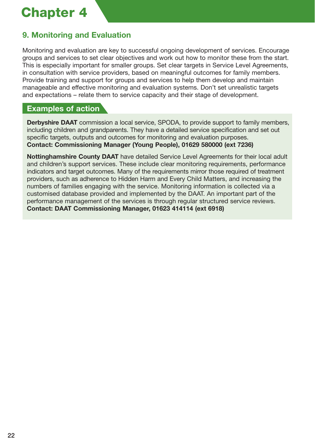## **9. Monitoring and Evaluation**

Monitoring and evaluation are key to successful ongoing development of services. Encourage groups and services to set clear objectives and work out how to monitor these from the start. This is especially important for smaller groups. Set clear targets in Service Level Agreements, in consultation with service providers, based on meaningful outcomes for family members. Provide training and support for groups and services to help them develop and maintain manageable and effective monitoring and evaluation systems. Don't set unrealistic targets and expectations – relate them to service capacity and their stage of development.

### **Examples of action**

**Derbyshire DAAT** commission a local service, SPODA, to provide support to family members, including children and grandparents. They have a detailed service specification and set out specific targets, outputs and outcomes for monitoring and evaluation purposes. **Contact: Commissioning Manager (Young People), 01629 580000 (ext 7236)**

**Nottinghamshire County DAAT** have detailed Service Level Agreements for their local adult and children's support services. These include clear monitoring requirements, performance indicators and target outcomes. Many of the requirements mirror those required of treatment providers, such as adherence to Hidden Harm and Every Child Matters, and increasing the numbers of families engaging with the service. Monitoring information is collected via a customised database provided and implemented by the DAAT. An important part of the performance management of the services is through regular structured service reviews. **Contact: DAAT Commissioning Manager, 01623 414114 (ext 6918)**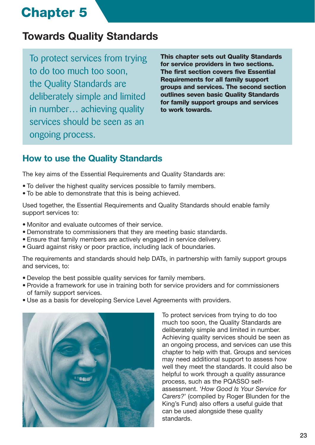## **Towards Quality Standards**

To protect services from trying to do too much too soon, the Quality Standards are deliberately simple and limited in number… achieving quality services should be seen as an ongoing process.

**This chapter sets out Quality Standards for service providers in two sections. The first section covers five Essential Requirements for all family support groups and services. The second section outlines seven basic Quality Standards for family support groups and services to work towards.** 

## **How to use the Quality Standards**

The key aims of the Essential Requirements and Quality Standards are:

- To deliver the highest quality services possible to family members.
- To be able to demonstrate that this is being achieved.

Used together, the Essential Requirements and Quality Standards should enable family support services to:

- Monitor and evaluate outcomes of their service.
- Demonstrate to commissioners that they are meeting basic standards.
- Ensure that family members are actively engaged in service delivery.
- Guard against risky or poor practice, including lack of boundaries.

The requirements and standards should help DATs, in partnership with family support groups and services, to:

- Develop the best possible quality services for family members.
- Provide a framework for use in training both for service providers and for commissioners of family support services.
- Use as a basis for developing Service Level Agreements with providers.



To protect services from trying to do too much too soon, the Quality Standards are deliberately simple and limited in number. Achieving quality services should be seen as an ongoing process, and services can use this chapter to help with that. Groups and services may need additional support to assess how well they meet the standards. It could also be helpful to work through a quality assurance process, such as the PQASSO selfassessment. '*How Good Is Your Service for Carers?*' (compiled by Roger Blunden for the King's Fund) also offers a useful guide that can be used alongside these quality standards.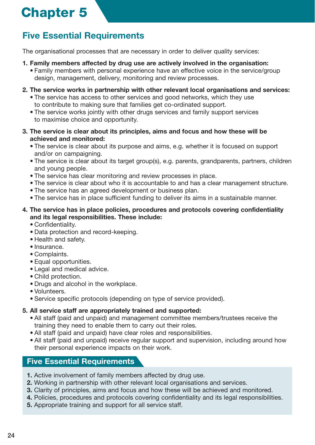## **Five Essential Requirements**

The organisational processes that are necessary in order to deliver quality services:

- **1. Family members affected by drug use are actively involved in the organisation:**
	- Family members with personal experience have an effective voice in the service/group design, management, delivery, monitoring and review processes.
- **2. The service works in partnership with other relevant local organisations and services:**
	- The service has access to other services and good networks, which they use to contribute to making sure that families get co-ordinated support.
	- The service works jointly with other drugs services and family support services to maximise choice and opportunity.
- **3. The service is clear about its principles, aims and focus and how these will be achieved and monitored:**
	- The service is clear about its purpose and aims, e.g. whether it is focused on support and/or on campaigning.
	- The service is clear about its target group(s), e.g. parents, grandparents, partners, children and young people.
	- The service has clear monitoring and review processes in place.
	- The service is clear about who it is accountable to and has a clear management structure.
	- The service has an agreed development or business plan.
	- The service has in place sufficient funding to deliver its aims in a sustainable manner.

#### **4. The service has in place policies, procedures and protocols covering confidentiality and its legal responsibilities. These include:**

- Confidentiality.
- Data protection and record-keeping.
- Health and safety.
- Insurance.
- Complaints.
- Equal opportunities.
- Legal and medical advice.
- Child protection.
- Drugs and alcohol in the workplace.
- Volunteers.
- Service specific protocols (depending on type of service provided).

#### **5. All service staff are appropriately trained and supported:**

- All staff (paid and unpaid) and management committee members/trustees receive the training they need to enable them to carry out their roles.
- All staff (paid and unpaid) have clear roles and responsibilities.
- All staff (paid and unpaid) receive regular support and supervision, including around how their personal experience impacts on their work.

### **Five Essential Requirements**

- **1.** Active involvement of family members affected by drug use.
- **2.** Working in partnership with other relevant local organisations and services.
- **3.** Clarity of principles, aims and focus and how these will be achieved and monitored.
- **4.** Policies, procedures and protocols covering confidentiality and its legal responsibilities.
- **5.** Appropriate training and support for all service staff.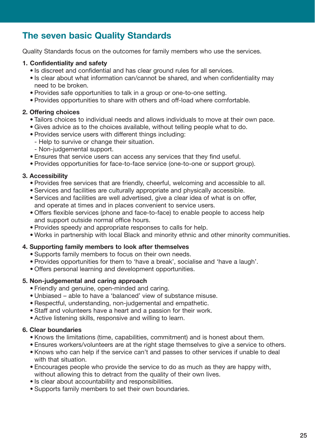## **The seven basic Quality Standards**

Quality Standards focus on the outcomes for family members who use the services.

#### **1. Confidentiality and safety**

- Is discreet and confidential and has clear ground rules for all services.
- Is clear about what information can/cannot be shared, and when confidentiality may need to be broken.
- Provides safe opportunities to talk in a group or one-to-one setting.
- Provides opportunities to share with others and off-load where comfortable.

#### **2. Offering choices**

- Tailors choices to individual needs and allows individuals to move at their own pace.
- Gives advice as to the choices available, without telling people what to do.
- Provides service users with different things including:
- Help to survive or change their situation.
- Non-judgemental support.
- Ensures that service users can access any services that they find useful.
- Provides opportunities for face-to-face service (one-to-one or support group).

#### **3. Accessibility**

- Provides free services that are friendly, cheerful, welcoming and accessible to all.
- Services and facilities are culturally appropriate and physically accessible.
- Services and facilities are well advertised, give a clear idea of what is on offer, and operate at times and in places convenient to service users.
- Offers flexible services (phone and face-to-face) to enable people to access help and support outside normal office hours.
- Provides speedy and appropriate responses to calls for help.
- Works in partnership with local Black and minority ethnic and other minority communities.

#### **4. Supporting family members to look after themselves**

- Supports family members to focus on their own needs.
- Provides opportunities for them to 'have a break', socialise and 'have a laugh'.
- Offers personal learning and development opportunities.

#### **5. Non-judgemental and caring approach**

- Friendly and genuine, open-minded and caring.
- Unbiased able to have a 'balanced' view of substance misuse.
- Respectful, understanding, non-judgemental and empathetic.
- Staff and volunteers have a heart and a passion for their work.
- Active listening skills, responsive and willing to learn.

#### **6. Clear boundaries**

- Knows the limitations (time, capabilities, commitment) and is honest about them.
- Ensures workers/volunteers are at the right stage themselves to give a service to others.
- Knows who can help if the service can't and passes to other services if unable to deal with that situation.
- Encourages people who provide the service to do as much as they are happy with, without allowing this to detract from the quality of their own lives.
- Is clear about accountability and responsibilities.
- Supports family members to set their own boundaries.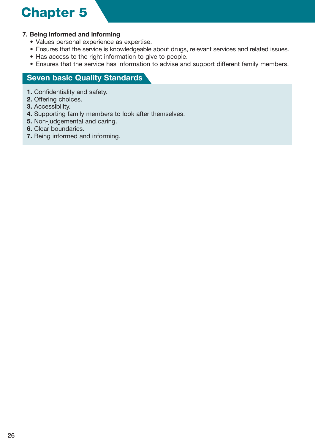#### **7. Being informed and informing**

- Values personal experience as expertise.
- Ensures that the service is knowledgeable about drugs, relevant services and related issues.
- Has access to the right information to give to people.
- Ensures that the service has information to advise and support different family members.

#### **Seven basic Quality Standards**

- **1.** Confidentiality and safety.
- **2.** Offering choices.
- **3.** Accessibility.
- **4.** Supporting family members to look after themselves.
- **5.** Non-judgemental and caring.
- **6.** Clear boundaries.
- **7.** Being informed and informing.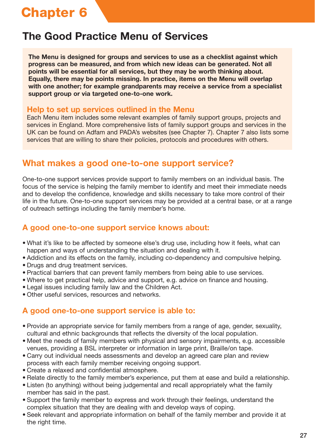## **The Good Practice Menu of Services**

**The Menu is designed for groups and services to use as a checklist against which progress can be measured, and from which new ideas can be generated. Not all points will be essential for all services, but they may be worth thinking about. Equally, there may be points missing. In practice, items on the Menu will overlap with one another; for example grandparents may receive a service from a specialist support group or via targeted one-to-one work.** 

#### **Help to set up services outlined in the Menu**

Each Menu item includes some relevant examples of family support groups, projects and services in England. More comprehensive lists of family support groups and services in the UK can be found on Adfam and PADA's websites (see Chapter 7). Chapter 7 also lists some services that are willing to share their policies, protocols and procedures with others.

## **What makes a good one-to-one support service?**

One-to-one support services provide support to family members on an individual basis. The focus of the service is helping the family member to identify and meet their immediate needs and to develop the confidence, knowledge and skills necessary to take more control of their life in the future. One-to-one support services may be provided at a central base, or at a range of outreach settings including the family member's home.

### **A good one-to-one support service knows about:**

- What it's like to be affected by someone else's drug use, including how it feels, what can happen and ways of understanding the situation and dealing with it.
- Addiction and its effects on the family, including co-dependency and compulsive helping.
- Drugs and drug treatment services.
- Practical barriers that can prevent family members from being able to use services.
- Where to get practical help, advice and support, e.g. advice on finance and housing.
- Legal issues including family law and the Children Act.
- Other useful services, resources and networks.

## **A good one-to-one support service is able to:**

- Provide an appropriate service for family members from a range of age, gender, sexuality, cultural and ethnic backgrounds that reflects the diversity of the local population.
- Meet the needs of family members with physical and sensory impairments, e.g. accessible venues, providing a BSL interpreter or information in large print, Braille/on tape.
- Carry out individual needs assessments and develop an agreed care plan and review process with each family member receiving ongoing support.
- Create a relaxed and confidential atmosphere.
- Relate directly to the family member's experience, put them at ease and build a relationship.
- Listen (to anything) without being judgemental and recall appropriately what the family member has said in the past.
- Support the family member to express and work through their feelings, understand the complex situation that they are dealing with and develop ways of coping.
- Seek relevant and appropriate information on behalf of the family member and provide it at the right time.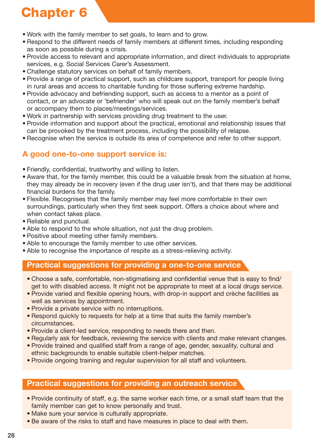- Work with the family member to set goals, to learn and to grow.
- Respond to the different needs of family members at different times, including responding as soon as possible during a crisis.
- Provide access to relevant and appropriate information, and direct individuals to appropriate services, e.g. Social Services Carer's Assessment.
- Challenge statutory services on behalf of family members.
- Provide a range of practical support, such as childcare support, transport for people living in rural areas and access to charitable funding for those suffering extreme hardship.
- Provide advocacy and befriending support, such as access to a mentor as a point of contact, or an advocate or 'befriender' who will speak out on the family member's behalf or accompany them to places/meetings/services.
- Work in partnership with services providing drug treatment to the user.
- Provide information and support about the practical, emotional and relationship issues that can be provoked by the treatment process, including the possibility of relapse.
- Recognise when the service is outside its area of competence and refer to other support.

## **A good one-to-one support service is:**

- Friendly, confidential, trustworthy and willing to listen.
- Aware that, for the family member, this could be a valuable break from the situation at home, they may already be in recovery (even if the drug user isn't), and that there may be additional financial burdens for the family.
- Flexible. Recognises that the family member may feel more comfortable in their own surroundings, particularly when they first seek support. Offers a choice about where and when contact takes place.
- Reliable and punctual.
- Able to respond to the whole situation, not just the drug problem.
- Positive about meeting other family members.
- Able to encourage the family member to use other services.
- Able to recognise the importance of respite as a stress-relieving activity.

#### **Practical suggestions for providing a one-to-one service**

- Choose a safe, comfortable, non-stigmatising and confidential venue that is easy to find/ get to with disabled access. It might not be appropriate to meet at a local drugs service.
- Provide varied and flexible opening hours, with drop-in support and crèche facilities as well as services by appointment.
- Provide a private service with no interruptions.
- Respond quickly to requests for help at a time that suits the family member's circumstances.
- Provide a client-led service, responding to needs there and then.
- Regularly ask for feedback, reviewing the service with clients and make relevant changes.
- Provide trained and qualified staff from a range of age, gender, sexuality, cultural and ethnic backgrounds to enable suitable client-helper matches.
- Provide ongoing training and regular supervision for all staff and volunteers.

#### **Practical suggestions for providing an outreach service**

- Provide continuity of staff, e.g. the same worker each time, or a small staff team that the family member can get to know personally and trust.
- Make sure your service is culturally appropriate.
- Be aware of the risks to staff and have measures in place to deal with them.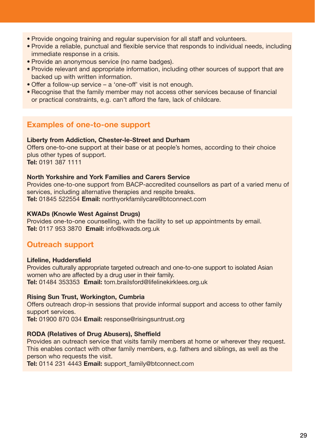- Provide ongoing training and regular supervision for all staff and volunteers.
- Provide a reliable, punctual and flexible service that responds to individual needs, including immediate response in a crisis.
- Provide an anonymous service (no name badges).
- Provide relevant and appropriate information, including other sources of support that are backed up with written information.
- Offer a follow-up service a 'one-off' visit is not enough.
- Recognise that the family member may not access other services because of financial or practical constraints, e.g. can't afford the fare, lack of childcare.

### **Examples of one-to-one support**

#### **Liberty from Addiction, Chester-le-Street and Durham**

Offers one-to-one support at their base or at people's homes, according to their choice plus other types of support. **Tel:** 0191 387 1111

#### **North Yorkshire and York Families and Carers Service**

Provides one-to-one support from BACP-accredited counsellors as part of a varied menu of services, including alternative therapies and respite breaks. **Tel:** 01845 522554 **Email:** northyorkfamilycare@btconnect.com

#### **KWADs (Knowle West Against Drugs)**

Provides one-to-one counselling, with the facility to set up appointments by email. **Tel:** 0117 953 3870 **Email:** info@kwads.org.uk

#### **Outreach support**

#### **Lifeline, Huddersfield**

Provides culturally appropriate targeted outreach and one-to-one support to isolated Asian women who are affected by a drug user in their family. **Tel:** 01484 353353 **Email:** tom.brailsford@lifelinekirklees.org.uk

#### **Rising Sun Trust, Workington, Cumbria**

Offers outreach drop-in sessions that provide informal support and access to other family support services.

**Tel:** 01900 870 034 **Email:** response@risingsuntrust.org

#### **RODA (Relatives of Drug Abusers), Sheffield**

Provides an outreach service that visits family members at home or wherever they request. This enables contact with other family members, e.g. fathers and siblings, as well as the person who requests the visit.

**Tel:** 0114 231 4443 **Email:** support\_family@btconnect.com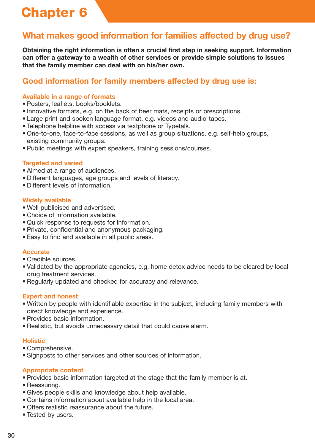## **What makes good information for families affected by drug use?**

**Obtaining the right information is often a crucial first step in seeking support. Information can offer a gateway to a wealth of other services or provide simple solutions to issues that the family member can deal with on his/her own.**

## **Good information for family members affected by drug use is:**

#### **Available in a range of formats**

- Posters, leaflets, books/booklets.
- Innovative formats, e.g. on the back of beer mats, receipts or prescriptions.
- Large print and spoken language format, e.g. videos and audio-tapes.
- Telephone helpline with access via textphone or Typetalk.
- One-to-one, face-to-face sessions, as well as group situations, e.g. self-help groups, existing community groups.
- Public meetings with expert speakers, training sessions/courses.

#### **Targeted and varied**

- Aimed at a range of audiences.
- Different languages, age groups and levels of literacy.
- Different levels of information.

#### **Widely available**

- Well publicised and advertised.
- Choice of information available.
- Quick response to requests for information.
- Private, confidential and anonymous packaging.
- Easy to find and available in all public areas.

#### **Accurate**

- Credible sources.
- Validated by the appropriate agencies, e.g. home detox advice needs to be cleared by local drug treatment services.
- Regularly updated and checked for accuracy and relevance.

#### **Expert and honest**

- Written by people with identifiable expertise in the subject, including family members with direct knowledge and experience.
- Provides basic information.
- Realistic, but avoids unnecessary detail that could cause alarm.

#### **Holistic**

- Comprehensive.
- Signposts to other services and other sources of information.

#### **Appropriate content**

- Provides basic information targeted at the stage that the family member is at.
- Reassuring.
- Gives people skills and knowledge about help available.
- Contains information about available help in the local area.
- Offers realistic reassurance about the future.
- Tested by users.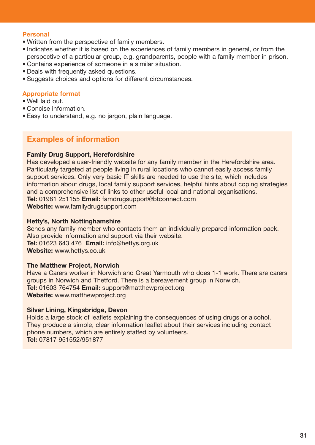#### **Personal**

- Written from the perspective of family members.
- Indicates whether it is based on the experiences of family members in general, or from the perspective of a particular group, e.g. grandparents, people with a family member in prison.
- Contains experience of someone in a similar situation.
- Deals with frequently asked questions.
- Suggests choices and options for different circumstances.

#### **Appropriate format**

- Well laid out.
- Concise information.
- Easy to understand, e.g. no jargon, plain language.

### **Examples of information**

#### **Family Drug Support, Herefordshire**

Has developed a user-friendly website for any family member in the Herefordshire area. Particularly targeted at people living in rural locations who cannot easily access family support services. Only very basic IT skills are needed to use the site, which includes information about drugs, local family support services, helpful hints about coping strategies and a comprehensive list of links to other useful local and national organisations. **Tel:** 01981 251155 **Email:** famdrugsupport@btconnect.com **Website:** www.familydrugsupport.com

**Hetty's, North Nottinghamshire**

Sends any family member who contacts them an individually prepared information pack. Also provide information and support via their website. **Tel:** 01623 643 476 **Email:** info@hettys.org.uk **Website:** www.hettys.co.uk

#### **The Matthew Project, Norwich**

Have a Carers worker in Norwich and Great Yarmouth who does 1-1 work. There are carers groups in Norwich and Thetford. There is a bereavement group in Norwich. **Tel:** 01603 764754 **Email:** support@matthewproject.org **Website:** www.matthewproject.org

#### **Silver Lining, Kingsbridge, Devon**

Holds a large stock of leaflets explaining the consequences of using drugs or alcohol. They produce a simple, clear information leaflet about their services including contact phone numbers, which are entirely staffed by volunteers. **Tel:** 07817 951552/951877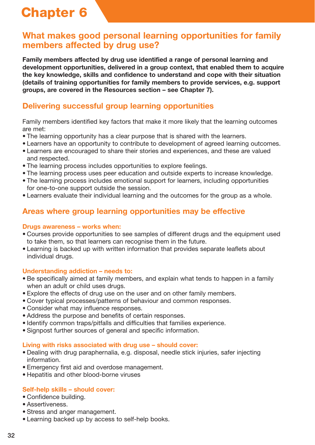## **What makes good personal learning opportunities for family members affected by drug use?**

**Family members affected by drug use identified a range of personal learning and development opportunities, delivered in a group context, that enabled them to acquire the key knowledge, skills and confidence to understand and cope with their situation (details of training opportunities for family members to provide services, e.g. support groups, are covered in the Resources section – see Chapter 7).**

### **Delivering successful group learning opportunities**

Family members identified key factors that make it more likely that the learning outcomes are met:

- The learning opportunity has a clear purpose that is shared with the learners.
- Learners have an opportunity to contribute to development of agreed learning outcomes.
- Learners are encouraged to share their stories and experiences, and these are valued and respected.
- The learning process includes opportunities to explore feelings.
- The learning process uses peer education and outside experts to increase knowledge.
- The learning process includes emotional support for learners, including opportunities for one-to-one support outside the session.
- Learners evaluate their individual learning and the outcomes for the group as a whole.

### **Areas where group learning opportunities may be effective**

#### **Drugs awareness – works when:**

- Courses provide opportunities to see samples of different drugs and the equipment used to take them, so that learners can recognise them in the future.
- Learning is backed up with written information that provides separate leaflets about individual drugs.

#### **Understanding addiction – needs to:**

- Be specifically aimed at family members, and explain what tends to happen in a family when an adult or child uses drugs.
- Explore the effects of drug use on the user and on other family members.
- Cover typical processes/patterns of behaviour and common responses.
- Consider what may influence responses.
- Address the purpose and benefits of certain responses.
- Identify common traps/pitfalls and difficulties that families experience.
- Signpost further sources of general and specific information.

#### **Living with risks associated with drug use – should cover:**

- Dealing with drug paraphernalia, e.g. disposal, needle stick injuries, safer injecting information.
- Emergency first aid and overdose management.
- Hepatitis and other blood-borne viruses

#### **Self-help skills – should cover:**

- Confidence building.
- Assertiveness.
- Stress and anger management.
- Learning backed up by access to self-help books.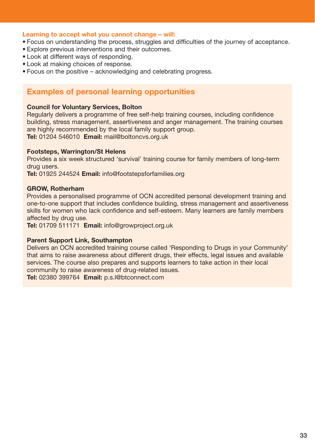#### **Learning to accept what you cannot change – will:**

- Focus on understanding the process, struggles and difficulties of the journey of acceptance.
- Explore previous interventions and their outcomes.
- Look at different ways of responding.
- Look at making choices of response.
- Focus on the positive acknowledging and celebrating progress.

#### **Examples of personal learning opportunities**

#### **Council for Voluntary Services, Bolton**

Regularly delivers a programme of free self-help training courses, including confidence building, stress management, assertiveness and anger management. The training courses are highly recommended by the local family support group. **Tel:** 01204 546010 **Email:** mail@boltoncvs.org.uk

#### **Footsteps, Warrington/St Helens**

Provides a six week structured 'survival' training course for family members of long-term drug users.

**Tel:** 01925 244524 **Email:** info@footstepsforfamilies.org

#### **GROW, Rotherham**

Provides a personalised programme of OCN accredited personal development training and one-to-one support that includes confidence building, stress management and assertiveness skills for women who lack confidence and self-esteem. Many learners are family members affected by drug use.

**Tel:** 01709 511171 **Email:** info@growproject.org.uk

#### **Parent Support Link, Southampton**

Delivers an OCN accredited training course called 'Responding to Drugs in your Community' that aims to raise awareness about different drugs, their effects, legal issues and available services. The course also prepares and supports learners to take action in their local community to raise awareness of drug-related issues.

**Tel:** 02380 399764 **Email:** p.s.l@btconnect.com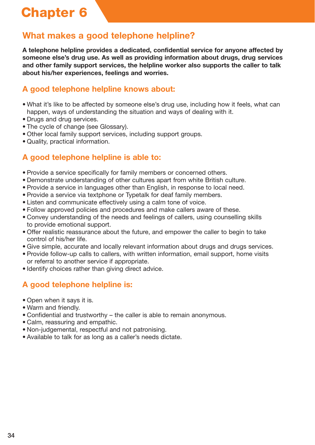## **What makes a good telephone helpline?**

**A telephone helpline provides a dedicated, confidential service for anyone affected by someone else's drug use. As well as providing information about drugs, drug services and other family support services, the helpline worker also supports the caller to talk about his/her experiences, feelings and worries.**

## **A good telephone helpline knows about:**

- What it's like to be affected by someone else's drug use, including how it feels, what can happen, ways of understanding the situation and ways of dealing with it.
- Drugs and drug services.
- The cycle of change (see Glossary).
- Other local family support services, including support groups.
- Quality, practical information.

## **A good telephone helpline is able to:**

- Provide a service specifically for family members or concerned others.
- Demonstrate understanding of other cultures apart from white British culture.
- Provide a service in languages other than English, in response to local need.
- Provide a service via textphone or Typetalk for deaf family members.
- Listen and communicate effectively using a calm tone of voice.
- Follow approved policies and procedures and make callers aware of these.
- Convey understanding of the needs and feelings of callers, using counselling skills to provide emotional support.
- Offer realistic reassurance about the future, and empower the caller to begin to take control of his/her life.
- Give simple, accurate and locally relevant information about drugs and drugs services.
- Provide follow-up calls to callers, with written information, email support, home visits or referral to another service if appropriate.
- Identify choices rather than giving direct advice.

## **A good telephone helpline is:**

- Open when it says it is.
- Warm and friendly.
- Confidential and trustworthy the caller is able to remain anonymous.
- Calm, reassuring and empathic.
- Non-judgemental, respectful and not patronising.
- Available to talk for as long as a caller's needs dictate.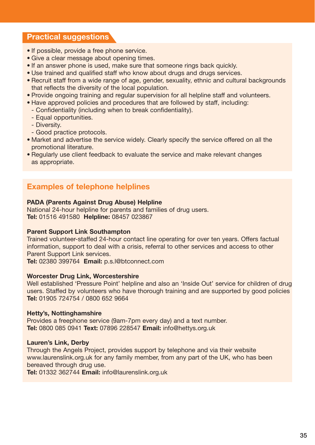### **Practical suggestions**

- If possible, provide a free phone service.
- Give a clear message about opening times.
- If an answer phone is used, make sure that someone rings back quickly.
- Use trained and qualified staff who know about drugs and drugs services.
- Recruit staff from a wide range of age, gender, sexuality, ethnic and cultural backgrounds that reflects the diversity of the local population.
- Provide ongoing training and regular supervision for all helpline staff and volunteers.
- Have approved policies and procedures that are followed by staff, including:
- Confidentiality (including when to break confidentiality).
- Equal opportunities.
- Diversity.
- Good practice protocols.
- Market and advertise the service widely. Clearly specify the service offered on all the promotional literature.
- Regularly use client feedback to evaluate the service and make relevant changes as appropriate.

### **Examples of telephone helplines**

#### **PADA (Parents Against Drug Abuse) Helpline**

National 24-hour helpline for parents and families of drug users. **Tel:** 01516 491580 **Helpline:** 08457 023867

#### **Parent Support Link Southampton**

Trained volunteer-staffed 24-hour contact line operating for over ten years. Offers factual information, support to deal with a crisis, referral to other services and access to other Parent Support Link services.

**Tel:** 02380 399764 **Email:** p.s.l@btconnect.com

#### **Worcester Drug Link, Worcestershire**

Well established 'Pressure Point' helpline and also an 'Inside Out' service for children of drug users. Staffed by volunteers who have thorough training and are supported by good policies **Tel:** 01905 724754 / 0800 652 9664

#### **Hetty's, Nottinghamshire**

Provides a freephone service (9am-7pm every day) and a text number. **Tel:** 0800 085 0941 **Text:** 07896 228547 **Email:** info@hettys.org.uk

#### **Lauren's Link, Derby**

Through the Angels Project, provides support by telephone and via their website www.laurenslink.org.uk for any family member, from any part of the UK, who has been bereaved through drug use.

**Tel:** 01332 362744 **Email:** info@laurenslink.org.uk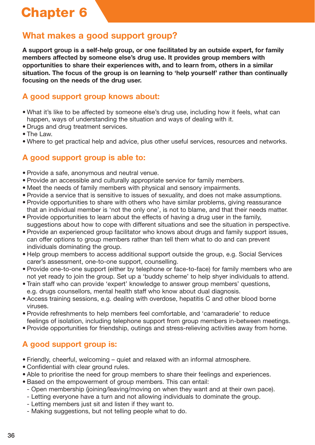## **What makes a good support group?**

**A support group is a self-help group, or one facilitated by an outside expert, for family members affected by someone else's drug use. It provides group members with opportunities to share their experiences with, and to learn from, others in a similar situation. The focus of the group is on learning to 'help yourself' rather than continually focusing on the needs of the drug user.**

## **A good support group knows about:**

- What it's like to be affected by someone else's drug use, including how it feels, what can happen, ways of understanding the situation and ways of dealing with it.
- Drugs and drug treatment services.
- The Law.
- Where to get practical help and advice, plus other useful services, resources and networks.

## **A good support group is able to:**

- Provide a safe, anonymous and neutral venue.
- Provide an accessible and culturally appropriate service for family members.
- Meet the needs of family members with physical and sensory impairments.
- Provide a service that is sensitive to issues of sexuality, and does not make assumptions.
- Provide opportunities to share with others who have similar problems, giving reassurance that an individual member is 'not the only one', is not to blame, and that their needs matter.
- Provide opportunities to learn about the effects of having a drug user in the family, suggestions about how to cope with different situations and see the situation in perspective.
- Provide an experienced group facilitator who knows about drugs and family support issues, can offer options to group members rather than tell them what to do and can prevent individuals dominating the group.
- Help group members to access additional support outside the group, e.g. Social Services carer's assessment, one-to-one support, counselling.
- Provide one-to-one support (either by telephone or face-to-face) for family members who are not yet ready to join the group. Set up a 'buddy scheme' to help shyer individuals to attend.
- Train staff who can provide 'expert' knowledge to answer group members' questions, e.g. drugs counsellors, mental health staff who know about dual diagnosis.
- Access training sessions, e.g. dealing with overdose, hepatitis C and other blood borne viruses.
- Provide refreshments to help members feel comfortable, and 'camaraderie' to reduce feelings of isolation, including telephone support from group members in-between meetings.
- Provide opportunities for friendship, outings and stress-relieving activities away from home.

## **A good support group is:**

- Friendly, cheerful, welcoming quiet and relaxed with an informal atmosphere.
- Confidential with clear ground rules.
- Able to prioritise the need for group members to share their feelings and experiences.
- Based on the empowerment of group members. This can entail:
	- Open membership (joining/leaving/moving on when they want and at their own pace).
	- Letting everyone have a turn and not allowing individuals to dominate the group.
	- Letting members just sit and listen if they want to.
	- Making suggestions, but not telling people what to do.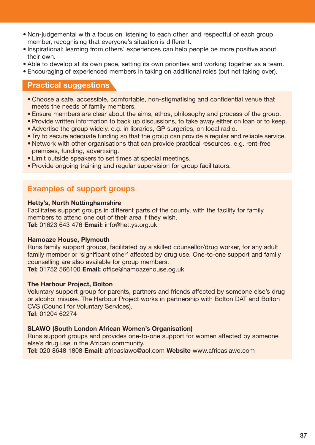- Non-judgemental with a focus on listening to each other, and respectful of each group member, recognising that everyone's situation is different.
- Inspirational; learning from others' experiences can help people be more positive about their own.
- Able to develop at its own pace, setting its own priorities and working together as a team.
- Encouraging of experienced members in taking on additional roles (but not taking over).

### **Practical suggestions**

- Choose a safe, accessible, comfortable, non-stigmatising and confidential venue that meets the needs of family members.
- Ensure members are clear about the aims, ethos, philosophy and process of the group.
- Provide written information to back up discussions, to take away either on loan or to keep. • Advertise the group widely, e.g. in libraries, GP surgeries, on local radio.
- Try to secure adequate funding so that the group can provide a regular and reliable service.
- Network with other organisations that can provide practical resources, e.g. rent-free premises, funding, advertising.
- Limit outside speakers to set times at special meetings.
- Provide ongoing training and regular supervision for group facilitators.

### **Examples of support groups**

#### **Hetty's, North Nottinghamshire**

Facilitates support groups in different parts of the county, with the facility for family members to attend one out of their area if they wish. **Tel:** 01623 643 476 **Email:** info@hettys.org.uk

#### **Hamoaze House, Plymouth**

Runs family support groups, facilitated by a skilled counsellor/drug worker, for any adult family member or 'significant other' affected by drug use. One-to-one support and family counselling are also available for group members.

**Tel:** 01752 566100 **Email:** office@hamoazehouse.og.uk

#### **The Harbour Project, Bolton**

Voluntary support group for parents, partners and friends affected by someone else's drug or alcohol misuse. The Harbour Project works in partnership with Bolton DAT and Bolton CVS (Council for Voluntary Services). **Tel**: 01204 62274

#### **SLAWO (South London African Women's Organisation)**

Runs support groups and provides one-to-one support for women affected by someone else's drug use in the African community.

**Tel:** 020 8648 1808 **Email:** africaslawo@aol.com **Website** www.africaslawo.com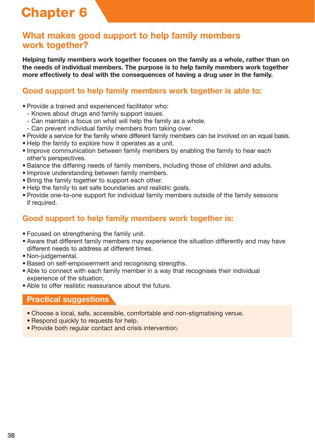## **What makes good support to help family members work together?**

**Helping family members work together focuses on the family as a whole, rather than on the needs of individual members. The purpose is to help family members work together more effectively to deal with the consequences of having a drug user in the family.**

## **Good support to help family members work together is able to:**

- Provide a trained and experienced facilitator who:
	- Knows about drugs and family support issues.
	- Can maintain a focus on what will help the family as a whole.
- Can prevent individual family members from taking over.
- Provide a service for the family where different family members can be involved on an equal basis.
- Help the family to explore how it operates as a unit.
- Improve communication between family members by enabling the family to hear each other's perspectives.
- Balance the differing needs of family members, including those of children and adults.
- Improve understanding between family members.
- Bring the family together to support each other.
- Help the family to set safe boundaries and realistic goals.
- Provide one-to-one support for individual family members outside of the family sessions if required.

## **Good support to help family members work together is:**

- Focused on strengthening the family unit.
- Aware that different family members may experience the situation differently and may have different needs to address at different times.
- Non-judgemental.
- Based on self-empowerment and recognising strengths.
- Able to connect with each family member in a way that recognises their individual experience of the situation.
- Able to offer realistic reassurance about the future.

#### **Practical suggestions**

- Choose a local, safe, accessible, comfortable and non-stigmatising venue.
- Respond quickly to requests for help.
- Provide both regular contact and crisis intervention.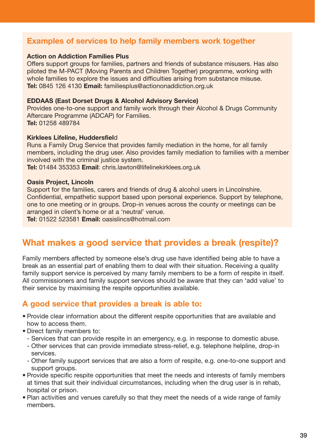## **Examples of services to help family members work together**

#### **Action on Addiction Families Plus**

Offers support groups for families, partners and friends of substance misusers. Has also piloted the M-PACT (Moving Parents and Children Together) programme, working with whole families to explore the issues and difficulties arising from substance misuse. **Tel:** 0845 126 4130 **Email:** familiesplus@actiononaddiction.org.uk

#### **EDDAAS (East Dorset Drugs & Alcohol Advisory Service)**

Provides one-to-one support and family work through their Alcohol & Drugs Community Aftercare Programme (ADCAP) for Families. **Tel:** 01258 489784

#### **Kirklees Lifeline, Huddersfiel**d

Runs a Family Drug Service that provides family mediation in the home, for all family members, including the drug user. Also provides family mediation to families with a member involved with the criminal justice system.

**Tel:** 01484 353353 **Email**: chris.lawton@lifelinekirklees.org.uk

#### **Oasis Project, Lincoln**

Support for the families, carers and friends of drug & alcohol users in Lincolnshire. Confidential, empathetic support based upon personal experience. Support by telephone, one to one meeting or in groups. Drop-in venues across the county or meetings can be arranged in client's home or at a 'neutral' venue.

**Tel**: 01522 523581 **Email:** oasislincs@hotmail.com

## **What makes a good service that provides a break (respite)?**

Family members affected by someone else's drug use have identified being able to have a break as an essential part of enabling them to deal with their situation. Receiving a quality family support service is perceived by many family members to be a form of respite in itself. All commissioners and family support services should be aware that they can 'add value' to their service by maximising the respite opportunities available.

### **A good service that provides a break is able to:**

- Provide clear information about the different respite opportunities that are available and how to access them.
- Direct family members to:
	- Services that can provide respite in an emergency, e.g. in response to domestic abuse.
	- Other services that can provide immediate stress-relief, e.g. telephone helpline, drop-in services.
	- Other family support services that are also a form of respite, e.g. one-to-one support and support groups.
- Provide specific respite opportunities that meet the needs and interests of family members at times that suit their individual circumstances, including when the drug user is in rehab, hospital or prison.
- Plan activities and venues carefully so that they meet the needs of a wide range of family members.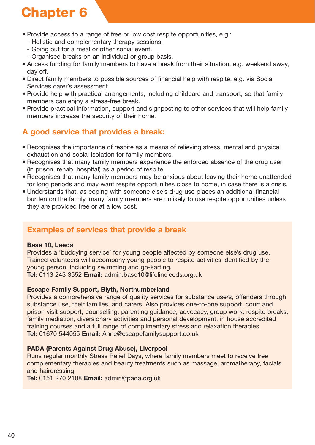- Provide access to a range of free or low cost respite opportunities, e.g.:
	- Holistic and complementary therapy sessions.
	- Going out for a meal or other social event.
	- Organised breaks on an individual or group basis.
- Access funding for family members to have a break from their situation, e.g. weekend away, day off.
- Direct family members to possible sources of financial help with respite, e.g. via Social Services carer's assessment.
- Provide help with practical arrangements, including childcare and transport, so that family members can enjoy a stress-free break.
- Provide practical information, support and signposting to other services that will help family members increase the security of their home.

## **A good service that provides a break:**

- Recognises the importance of respite as a means of relieving stress, mental and physical exhaustion and social isolation for family members.
- Recognises that many family members experience the enforced absence of the drug user (in prison, rehab, hospital) as a period of respite.
- Recognises that many family members may be anxious about leaving their home unattended for long periods and may want respite opportunities close to home, in case there is a crisis.
- Understands that, as coping with someone else's drug use places an additional financial burden on the family, many family members are unlikely to use respite opportunities unless they are provided free or at a low cost.

## **Examples of services that provide a break**

#### **Base 10, Leeds**

Provides a 'buddying service' for young people affected by someone else's drug use. Trained volunteers will accompany young people to respite activities identified by the young person, including swimming and go-karting.

**Tel:** 0113 243 3552 **Email:** admin.base10@lifelineleeds.org.uk

#### **Escape Family Support, Blyth, Northumberland**

Provides a comprehensive range of quality services for substance users, offenders through substance use, their families, and carers. Also provides one-to-one support, court and prison visit support, counselling, parenting guidance, advocacy, group work, respite breaks, family mediation, diversionary activities and personal development, in house accredited training courses and a full range of complimentary stress and relaxation therapies. **Tel:** 01670 544055 **Email:** Anne@escapefamilysupport.co.uk

#### **PADA (Parents Against Drug Abuse), Liverpool**

Runs regular monthly Stress Relief Days, where family members meet to receive free complementary therapies and beauty treatments such as massage, aromatherapy, facials and hairdressing.

**Tel:** 0151 270 2108 **Email:** admin@pada.org.uk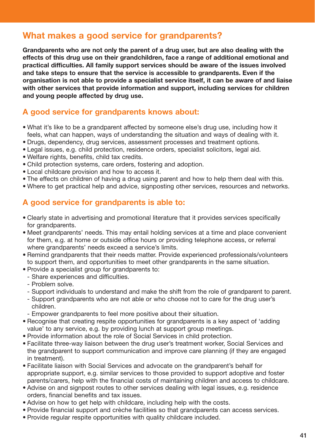## **What makes a good service for grandparents?**

**Grandparents who are not only the parent of a drug user, but are also dealing with the effects of this drug use on their grandchildren, face a range of additional emotional and practical difficulties. All family support services should be aware of the issues involved and take steps to ensure that the service is accessible to grandparents. Even if the organisation is not able to provide a specialist service itself, it can be aware of and liaise with other services that provide information and support, including services for children and young people affected by drug use.**

### **A good service for grandparents knows about:**

- What it's like to be a grandparent affected by someone else's drug use, including how it feels, what can happen, ways of understanding the situation and ways of dealing with it.
- Drugs, dependency, drug services, assessment processes and treatment options.
- Legal issues, e.g. child protection, residence orders, specialist solicitors, legal aid.
- Welfare rights, benefits, child tax credits.
- Child protection systems, care orders, fostering and adoption.
- Local childcare provision and how to access it.
- The effects on children of having a drug using parent and how to help them deal with this.
- Where to get practical help and advice, signposting other services, resources and networks.

### **A good service for grandparents is able to:**

- Clearly state in advertising and promotional literature that it provides services specifically for grandparents.
- Meet grandparents' needs. This may entail holding services at a time and place convenient for them, e.g. at home or outside office hours or providing telephone access, or referral where grandparents' needs exceed a service's limits.
- Remind grandparents that their needs matter. Provide experienced professionals/volunteers to support them, and opportunities to meet other grandparents in the same situation.
- Provide a specialist group for grandparents to:
- Share experiences and difficulties.
- Problem solve.
- Support individuals to understand and make the shift from the role of grandparent to parent.
- Support grandparents who are not able or who choose not to care for the drug user's children.
- Empower grandparents to feel more positive about their situation.
- Recognise that creating respite opportunities for grandparents is a key aspect of 'adding value' to any service, e.g. by providing lunch at support group meetings.
- Provide information about the role of Social Services in child protection.
- Facilitate three-way liaison between the drug user's treatment worker, Social Services and the grandparent to support communication and improve care planning (if they are engaged in treatment).
- Facilitate liaison with Social Services and advocate on the grandparent's behalf for appropriate support, e.g. similar services to those provided to support adoptive and foster parents/carers, help with the financial costs of maintaining children and access to childcare.
- Advise on and signpost routes to other services dealing with legal issues, e.g. residence orders, financial benefits and tax issues.
- Advise on how to get help with childcare, including help with the costs.
- Provide financial support and crèche facilities so that grandparents can access services.
- Provide regular respite opportunities with quality childcare included.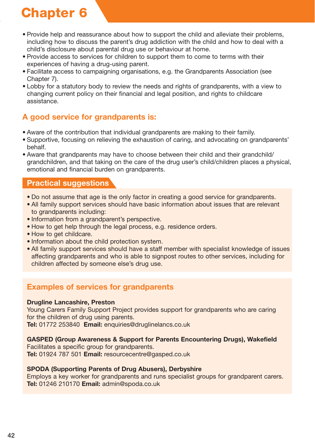- Provide help and reassurance about how to support the child and alleviate their problems, including how to discuss the parent's drug addiction with the child and how to deal with a child's disclosure about parental drug use or behaviour at home.
- Provide access to services for children to support them to come to terms with their experiences of having a drug-using parent.
- Facilitate access to campaigning organisations, e.g. the Grandparents Association (see Chapter 7).
- Lobby for a statutory body to review the needs and rights of grandparents, with a view to changing current policy on their financial and legal position, and rights to childcare assistance.

## **A good service for grandparents is:**

- Aware of the contribution that individual grandparents are making to their family.
- Supportive, focusing on relieving the exhaustion of caring, and advocating on grandparents' behalf.
- Aware that grandparents may have to choose between their child and their grandchild/ grandchildren, and that taking on the care of the drug user's child/children places a physical, emotional and financial burden on grandparents.

## **Practical suggestions**

- Do not assume that age is the only factor in creating a good service for grandparents.
- All family support services should have basic information about issues that are relevant to grandparents including:
- Information from a grandparent's perspective.
- How to get help through the legal process, e.g. residence orders.
- How to get childcare.
- Information about the child protection system.
- All family support services should have a staff member with specialist knowledge of issues affecting grandparents and who is able to signpost routes to other services, including for children affected by someone else's drug use.

## **Examples of services for grandparents**

#### **Drugline Lancashire, Preston**

Young Carers Family Support Project provides support for grandparents who are caring for the children of drug using parents.

**Tel:** 01772 253840 **Email:** enquiries@druglinelancs.co.uk

#### **GASPED (Group Awareness & Support for Parents Encountering Drugs), Wakefield**

Facilitates a specific group for grandparents. **Tel:** 01924 787 501 **Email:** resourcecentre@gasped.co.uk

#### **SPODA (Supporting Parents of Drug Abusers), Derbyshire**

Employs a key worker for grandparents and runs specialist groups for grandparent carers. **Tel:** 01246 210170 **Email:** admin@spoda.co.uk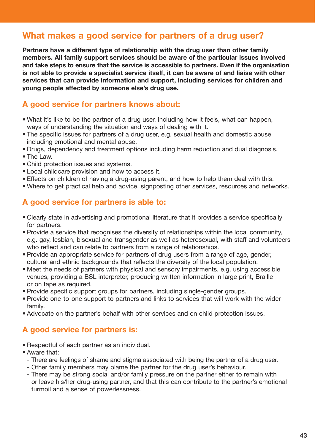## **What makes a good service for partners of a drug user?**

**Partners have a different type of relationship with the drug user than other family members. All family support services should be aware of the particular issues involved and take steps to ensure that the service is accessible to partners. Even if the organisation is not able to provide a specialist service itself, it can be aware of and liaise with other services that can provide information and support, including services for children and young people affected by someone else's drug use.**

### **A good service for partners knows about:**

- What it's like to be the partner of a drug user, including how it feels, what can happen, ways of understanding the situation and ways of dealing with it.
- The specific issues for partners of a drug user, e.g. sexual health and domestic abuse including emotional and mental abuse.
- Drugs, dependency and treatment options including harm reduction and dual diagnosis.
- The Law.
- Child protection issues and systems.
- Local childcare provision and how to access it.
- Effects on children of having a drug-using parent, and how to help them deal with this.
- Where to get practical help and advice, signposting other services, resources and networks.

### **A good service for partners is able to:**

- Clearly state in advertising and promotional literature that it provides a service specifically for partners.
- Provide a service that recognises the diversity of relationships within the local community, e.g. gay, lesbian, bisexual and transgender as well as heterosexual, with staff and volunteers who reflect and can relate to partners from a range of relationships.
- Provide an appropriate service for partners of drug users from a range of age, gender, cultural and ethnic backgrounds that reflects the diversity of the local population.
- Meet the needs of partners with physical and sensory impairments, e.g. using accessible venues, providing a BSL interpreter, producing written information in large print, Braille or on tape as required.
- Provide specific support groups for partners, including single-gender groups.
- Provide one-to-one support to partners and links to services that will work with the wider family.
- Advocate on the partner's behalf with other services and on child protection issues.

## **A good service for partners is:**

- Respectful of each partner as an individual.
- Aware that:
	- There are feelings of shame and stigma associated with being the partner of a drug user.
	- Other family members may blame the partner for the drug user's behaviour.
	- There may be strong social and/or family pressure on the partner either to remain with or leave his/her drug-using partner, and that this can contribute to the partner's emotional turmoil and a sense of powerlessness.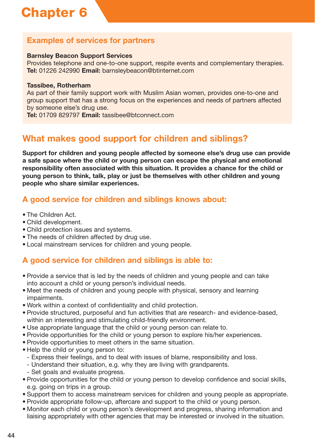## **Examples of services for partners**

#### **Barnsley Beacon Support Services**

Provides telephone and one-to-one support, respite events and complementary therapies. **Tel:** 01226 242990 **Email:** barnsleybeacon@btinternet.com

#### **Tassibee, Rotherham**

As part of their family support work with Muslim Asian women, provides one-to-one and group support that has a strong focus on the experiences and needs of partners affected by someone else's drug use.

**Tel:** 01709 829797 **Email:** tassibee@btconnect.com

## **What makes good support for children and siblings?**

**Support for children and young people affected by someone else's drug use can provide a safe space where the child or young person can escape the physical and emotional responsibility often associated with this situation. It provides a chance for the child or young person to think, talk, play or just be themselves with other children and young people who share similar experiences.**

## **A good service for children and siblings knows about:**

- The Children Act.
- Child development.
- Child protection issues and systems.
- The needs of children affected by drug use.
- Local mainstream services for children and young people.

## **A good service for children and siblings is able to:**

- Provide a service that is led by the needs of children and young people and can take into account a child or young person's individual needs.
- Meet the needs of children and young people with physical, sensory and learning impairments.
- Work within a context of confidentiality and child protection.
- Provide structured, purposeful and fun activities that are research- and evidence-based, within an interesting and stimulating child-friendly environment.
- Use appropriate language that the child or young person can relate to.
- Provide opportunities for the child or young person to explore his/her experiences.
- Provide opportunities to meet others in the same situation.
- Help the child or young person to:
	- Express their feelings, and to deal with issues of blame, responsibility and loss.
	- Understand their situation, e.g. why they are living with grandparents.
	- Set goals and evaluate progress.
- Provide opportunities for the child or young person to develop confidence and social skills, e.g. going on trips in a group.
- Support them to access mainstream services for children and young people as appropriate.
- Provide appropriate follow-up, aftercare and support to the child or young person.
- Monitor each child or young person's development and progress, sharing information and liaising appropriately with other agencies that may be interested or involved in the situation.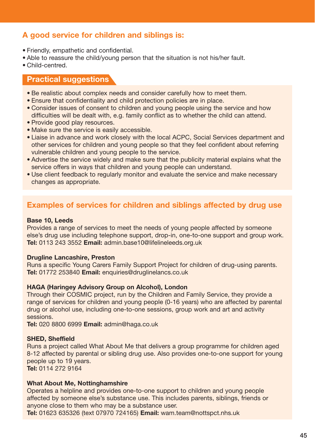## **A good service for children and siblings is:**

- Friendly, empathetic and confidential.
- Able to reassure the child/young person that the situation is not his/her fault.
- Child-centred.

#### **Practical suggestions**

- Be realistic about complex needs and consider carefully how to meet them.
- Ensure that confidentiality and child protection policies are in place.
- Consider issues of consent to children and young people using the service and how difficulties will be dealt with, e.g. family conflict as to whether the child can attend.
- Provide good play resources.
- Make sure the service is easily accessible.
- Liaise in advance and work closely with the local ACPC, Social Services department and other services for children and young people so that they feel confident about referring vulnerable children and young people to the service.
- Advertise the service widely and make sure that the publicity material explains what the service offers in ways that children and young people can understand.
- Use client feedback to regularly monitor and evaluate the service and make necessary changes as appropriate.

### **Examples of services for children and siblings affected by drug use**

#### **Base 10, Leeds**

Provides a range of services to meet the needs of young people affected by someone else's drug use including telephone support, drop-in, one-to-one support and group work. **Tel:** 0113 243 3552 **Email:** admin.base10@lifelineleeds.org.uk

#### **Drugline Lancashire, Preston**

Runs a specific Young Carers Family Support Project for children of drug-using parents. **Tel:** 01772 253840 **Email:** enquiries@druglinelancs.co.uk

#### **HAGA (Haringey Advisory Group on Alcohol), London**

Through their COSMIC project, run by the Children and Family Service, they provide a range of services for children and young people (0-16 years) who are affected by parental drug or alcohol use, including one-to-one sessions, group work and art and activity sessions.

**Tel:** 020 8800 6999 **Email:** admin@haga.co.uk

#### **SHED, Sheffield**

Runs a project called What About Me that delivers a group programme for children aged 8-12 affected by parental or sibling drug use. Also provides one-to-one support for young people up to 19 years.

**Tel:** 0114 272 9164

#### **What About Me, Nottinghamshire**

Operates a helpline and provides one-to-one support to children and young people affected by someone else's substance use. This includes parents, siblings, friends or anyone close to them who may be a substance user.

**Tel:** 01623 635326 (text 07970 724165) **Email:** wam.team@nottspct.nhs.uk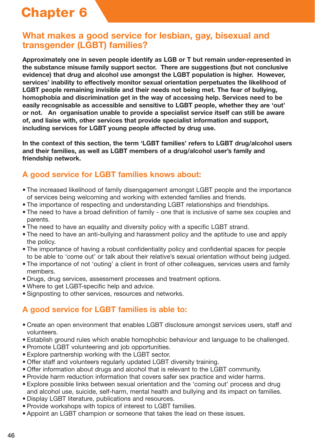## **What makes a good service for lesbian, gay, bisexual and transgender (LGBT) families?**

**Approximately one in seven people identify as LGB or T but remain under-represented in the substance misuse family support sector. There are suggestions (but not conclusive evidence) that drug and alcohol use amongst the LGBT population is higher. However, services' inability to effectively monitor sexual orientation perpetuates the likelihood of LGBT people remaining invisible and their needs not being met. The fear of bullying, homophobia and discrimination get in the way of accessing help. Services need to be easily recognisable as accessible and sensitive to LGBT people, whether they are 'out' or not. An organisation unable to provide a specialist service itself can still be aware of, and liaise with, other services that provide specialist information and support, including services for LGBT young people affected by drug use.**

**In the context of this section, the term 'LGBT families' refers to LGBT drug/alcohol users and their families, as well as LGBT members of a drug/alcohol user's family and friendship network.** 

## **A good service for LGBT families knows about:**

- The increased likelihood of family disengagement amongst LGBT people and the importance of services being welcoming and working with extended families and friends.
- The importance of respecting and understanding LGBT relationships and friendships.
- The need to have a broad definition of family one that is inclusive of same sex couples and parents.
- The need to have an equality and diversity policy with a specific LGBT strand.
- The need to have an anti-bullying and harassment policy and the aptitude to use and apply the policy.
- The importance of having a robust confidentiality policy and confidential spaces for people to be able to 'come out' or talk about their relative's sexual orientation without being judged.
- The importance of not 'outing' a client in front of other colleagues, services users and family members.
- Drugs, drug services, assessment processes and treatment options.
- Where to get LGBT-specific help and advice.
- Signposting to other services, resources and networks.

## **A good service for LGBT families is able to:**

- Create an open environment that enables LGBT disclosure amongst services users, staff and volunteers.
- Establish ground rules which enable homophobic behaviour and language to be challenged.
- Promote LGBT volunteering and job opportunities.
- Explore partnership working with the LGBT sector.
- Offer staff and volunteers regularly updated LGBT diversity training.
- Offer information about drugs and alcohol that is relevant to the LGBT community.
- Provide harm reduction information that covers safer sex practice and wider harms.
- Explore possible links between sexual orientation and the 'coming out' process and drug and alcohol use, suicide, self-harm, mental health and bullying and its impact on families.
- Display LGBT literature, publications and resources.
- Provide workshops with topics of interest to LGBT families.
- Appoint an LGBT champion or someone that takes the lead on these issues.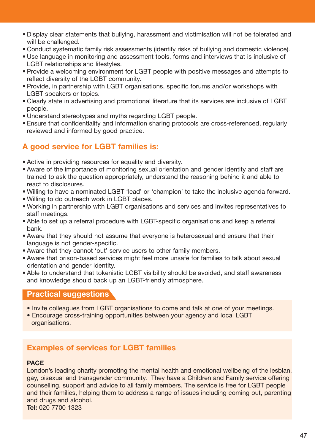- Display clear statements that bullying, harassment and victimisation will not be tolerated and will be challenged.
- Conduct systematic family risk assessments (identify risks of bullying and domestic violence).
- Use language in monitoring and assessment tools, forms and interviews that is inclusive of LGBT relationships and lifestyles.
- Provide a welcoming environment for LGBT people with positive messages and attempts to reflect diversity of the LGBT community.
- Provide, in partnership with LGBT organisations, specific forums and/or workshops with LGBT speakers or topics.
- Clearly state in advertising and promotional literature that its services are inclusive of LGBT people.
- Understand stereotypes and myths regarding LGBT people.
- Ensure that confidentiality and information sharing protocols are cross-referenced, regularly reviewed and informed by good practice.

## **A good service for LGBT families is:**

- Active in providing resources for equality and diversity.
- Aware of the importance of monitoring sexual orientation and gender identity and staff are trained to ask the question appropriately, understand the reasoning behind it and able to react to disclosures.
- Willing to have a nominated LGBT 'lead' or 'champion' to take the inclusive agenda forward.
- Willing to do outreach work in LGBT places.
- Working in partnership with LGBT organisations and services and invites representatives to staff meetings.
- Able to set up a referral procedure with LGBT-specific organisations and keep a referral bank.
- Aware that they should not assume that everyone is heterosexual and ensure that their language is not gender-specific.
- Aware that they cannot 'out' service users to other family members.
- Aware that prison-based services might feel more unsafe for families to talk about sexual orientation and gender identity.
- Able to understand that tokenistic LGBT visibility should be avoided, and staff awareness and knowledge should back up an LGBT-friendly atmosphere.

### **Practical suggestions**

- Invite colleagues from LGBT organisations to come and talk at one of your meetings.
- Encourage cross-training opportunities between your agency and local LGBT organisations.

## **Examples of services for LGBT families**

#### **PACE**

London's leading charity promoting the mental health and emotional wellbeing of the lesbian, gay, bisexual and transgender community. They have a Children and Family service offering counselling, support and advice to all family members. The service is free for LGBT people and their families, helping them to address a range of issues including coming out, parenting and drugs and alcohol. **Tel:** 020 7700 1323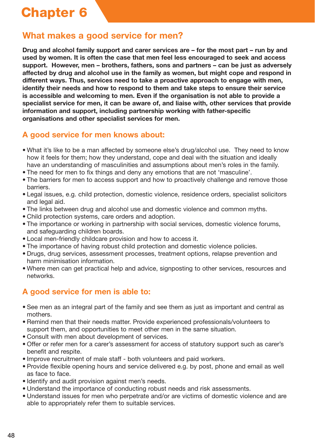## **What makes a good service for men?**

**Drug and alcohol family support and carer services are – for the most part – run by and used by women. It is often the case that men feel less encouraged to seek and access support. However, men – brothers, fathers, sons and partners – can be just as adversely affected by drug and alcohol use in the family as women, but might cope and respond in different ways. Thus, services need to take a proactive approach to engage with men, identify their needs and how to respond to them and take steps to ensure their service is accessible and welcoming to men. Even if the organisation is not able to provide a specialist service for men, it can be aware of, and liaise with, other services that provide information and support, including partnership working with father-specific organisations and other specialist services for men.**

## **A good service for men knows about:**

- What it's like to be a man affected by someone else's drug/alcohol use. They need to know how it feels for them; how they understand, cope and deal with the situation and ideally have an understanding of masculinities and assumptions about men's roles in the family.
- The need for men to fix things and deny any emotions that are not 'masculine'.
- The barriers for men to access support and how to proactively challenge and remove those barriers.
- Legal issues, e.g. child protection, domestic violence, residence orders, specialist solicitors and legal aid.
- The links between drug and alcohol use and domestic violence and common myths.
- Child protection systems, care orders and adoption.
- The importance or working in partnership with social services, domestic violence forums, and safeguarding children boards.
- Local men-friendly childcare provision and how to access it.
- The importance of having robust child protection and domestic violence policies.
- Drugs, drug services, assessment processes, treatment options, relapse prevention and harm minimisation information.
- Where men can get practical help and advice, signposting to other services, resources and networks.

## **A good service for men is able to:**

- See men as an integral part of the family and see them as just as important and central as mothers.
- Remind men that their needs matter. Provide experienced professionals/volunteers to support them, and opportunities to meet other men in the same situation.
- Consult with men about development of services.
- Offer or refer men for a carer's assessment for access of statutory support such as carer's benefit and respite.
- Improve recruitment of male staff both volunteers and paid workers.
- Provide flexible opening hours and service delivered e.g. by post, phone and email as well as face to face.
- Identify and audit provision against men's needs.
- Understand the importance of conducting robust needs and risk assessments.
- Understand issues for men who perpetrate and/or are victims of domestic violence and are able to appropriately refer them to suitable services.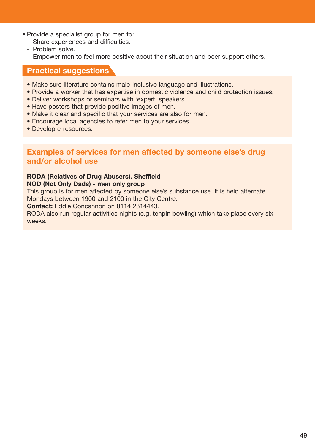- Provide a specialist group for men to:
	- Share experiences and difficulties.
	- Problem solve.
	- Empower men to feel more positive about their situation and peer support others.

#### **Practical suggestions**

- Make sure literature contains male-inclusive language and illustrations.
- Provide a worker that has expertise in domestic violence and child protection issues.
- Deliver workshops or seminars with 'expert' speakers.
- Have posters that provide positive images of men.
- Make it clear and specific that your services are also for men.
- Encourage local agencies to refer men to your services.
- Develop e-resources.

#### **Examples of services for men affected by someone else's drug and/or alcohol use**

#### **RODA (Relatives of Drug Abusers), Sheffield**

#### **NOD (Not Only Dads) - men only group**

This group is for men affected by someone else's substance use. It is held alternate Mondays between 1900 and 2100 in the City Centre.

**Contact:** Eddie Concannon on 0114 2314443.

RODA also run regular activities nights (e.g. tenpin bowling) which take place every six weeks.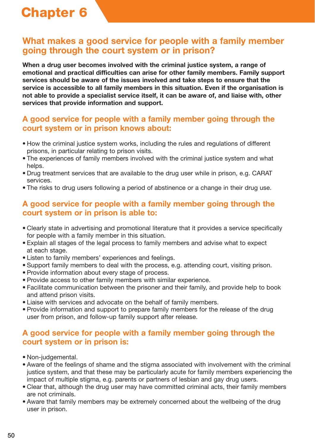## **What makes a good service for people with a family member going through the court system or in prison?**

**When a drug user becomes involved with the criminal justice system, a range of emotional and practical difficulties can arise for other family members. Family support services should be aware of the issues involved and take steps to ensure that the service is accessible to all family members in this situation. Even if the organisation is not able to provide a specialist service itself, it can be aware of, and liaise with, other services that provide information and support.**

### **A good service for people with a family member going through the court system or in prison knows about:**

- How the criminal justice system works, including the rules and regulations of different prisons, in particular relating to prison visits.
- The experiences of family members involved with the criminal justice system and what helps.
- Drug treatment services that are available to the drug user while in prison, e.g. CARAT services.
- The risks to drug users following a period of abstinence or a change in their drug use.

## **A good service for people with a family member going through the court system or in prison is able to:**

- Clearly state in advertising and promotional literature that it provides a service specifically for people with a family member in this situation.
- Explain all stages of the legal process to family members and advise what to expect at each stage.
- Listen to family members' experiences and feelings.
- Support family members to deal with the process, e.g. attending court, visiting prison.
- Provide information about every stage of process.
- Provide access to other family members with similar experience.
- Facilitate communication between the prisoner and their family, and provide help to book and attend prison visits.
- Liaise with services and advocate on the behalf of family members.
- Provide information and support to prepare family members for the release of the drug user from prison, and follow-up family support after release.

## **A good service for people with a family member going through the court system or in prison is:**

- Non-judgemental.
- Aware of the feelings of shame and the stigma associated with involvement with the criminal justice system, and that these may be particularly acute for family members experiencing the impact of multiple stigma, e.g. parents or partners of lesbian and gay drug users.
- Clear that, although the drug user may have committed criminal acts, their family members are not criminals.
- Aware that family members may be extremely concerned about the wellbeing of the drug user in prison.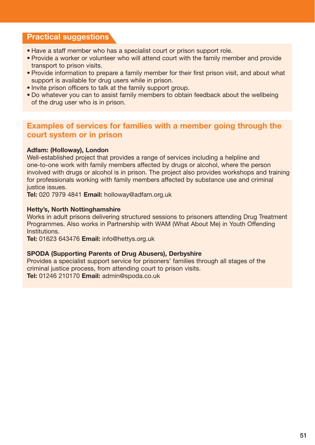### **Practical suggestions**

- Have a staff member who has a specialist court or prison support role.
- Provide a worker or volunteer who will attend court with the family member and provide transport to prison visits.
- Provide information to prepare a family member for their first prison visit, and about what support is available for drug users while in prison.
- Invite prison officers to talk at the family support group.
- Do whatever you can to assist family members to obtain feedback about the wellbeing of the drug user who is in prison.

### **Examples of services for families with a member going through the court system or in prison**

#### **Adfam: (Holloway), London**

Well-established project that provides a range of services including a helpline and one-to-one work with family members affected by drugs or alcohol, where the person involved with drugs or alcohol is in prison. The project also provides workshops and training for professionals working with family members affected by substance use and criminal justice issues.

**Tel:** 020 7979 4841 **Email:** holloway@adfam.org.uk

#### **Hetty's, North Nottinghamshire**

Works in adult prisons delivering structured sessions to prisoners attending Drug Treatment Programmes. Also works in Partnership with WAM (What About Me) in Youth Offending Institutions.

**Tel:** 01623 643476 **Email:** info@hettys.org.uk

#### **SPODA (Supporting Parents of Drug Abusers), Derbyshire**

Provides a specialist support service for prisoners' families through all stages of the criminal justice process, from attending court to prison visits. **Tel:** 01246 210170 **Email:** admin@spoda.co.uk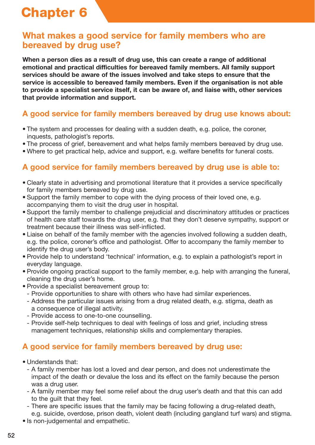## **What makes a good service for family members who are bereaved by drug use?**

**When a person dies as a result of drug use, this can create a range of additional emotional and practical difficulties for bereaved family members. All family support services should be aware of the issues involved and take steps to ensure that the service is accessible to bereaved family members. Even if the organisation is not able to provide a specialist service itself, it can be aware of, and liaise with, other services that provide information and support.**

## **A good service for family members bereaved by drug use knows about:**

- The system and processes for dealing with a sudden death, e.g. police, the coroner, inquests, pathologist's reports.
- The process of grief, bereavement and what helps family members bereaved by drug use.
- Where to get practical help, advice and support, e.g. welfare benefits for funeral costs.

## **A good service for family members bereaved by drug use is able to:**

- Clearly state in advertising and promotional literature that it provides a service specifically for family members bereaved by drug use.
- Support the family member to cope with the dying process of their loved one, e.g. accompanying them to visit the drug user in hospital.
- Support the family member to challenge prejudicial and discriminatory attitudes or practices of health care staff towards the drug user, e.g. that they don't deserve sympathy, support or treatment because their illness was self-inflicted.
- Liaise on behalf of the family member with the agencies involved following a sudden death, e.g. the police, coroner's office and pathologist. Offer to accompany the family member to identify the drug user's body.
- Provide help to understand 'technical' information, e.g. to explain a pathologist's report in everyday language.
- Provide ongoing practical support to the family member, e.g. help with arranging the funeral, cleaning the drug user's home.
- Provide a specialist bereavement group to:
- Provide opportunities to share with others who have had similar experiences.
- Address the particular issues arising from a drug related death, e.g. stigma, death as a consequence of illegal activity.
- Provide access to one-to-one counselling.
- Provide self-help techniques to deal with feelings of loss and grief, including stress management techniques, relationship skills and complementary therapies.

## **A good service for family members bereaved by drug use:**

- Understands that:
	- A family member has lost a loved and dear person, and does not underestimate the impact of the death or devalue the loss and its effect on the family because the person was a drug user.
	- A family member may feel some relief about the drug user's death and that this can add to the guilt that they feel.
	- There are specific issues that the family may be facing following a drug-related death, e.g. suicide, overdose, prison death, violent death (including gangland turf wars) and stigma.
- Is non-judgemental and empathetic.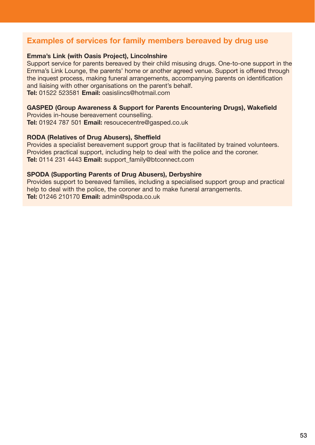### **Examples of services for family members bereaved by drug use**

#### **Emma's Link (with Oasis Project), Lincolnshire**

Support service for parents bereaved by their child misusing drugs. One-to-one support in the Emma's Link Lounge, the parents' home or another agreed venue. Support is offered through the inquest process, making funeral arrangements, accompanying parents on identification and liaising with other organisations on the parent's behalf. **Tel:** 01522 523581 **Email:** oasislincs@hotmail.com

#### **GASPED (Group Awareness & Support for Parents Encountering Drugs), Wakefield**

Provides in-house bereavement counselling. **Tel:** 01924 787 501 **Email:** resoucecentre@gasped.co.uk

#### **RODA (Relatives of Drug Abusers), Sheffield**

Provides a specialist bereavement support group that is facilitated by trained volunteers. Provides practical support, including help to deal with the police and the coroner. **Tel:** 0114 231 4443 **Email:** support\_family@btconnect.com

#### **SPODA (Supporting Parents of Drug Abusers), Derbyshire**

Provides support to bereaved families, including a specialised support group and practical help to deal with the police, the coroner and to make funeral arrangements. **Tel:** 01246 210170 **Email:** admin@spoda.co.uk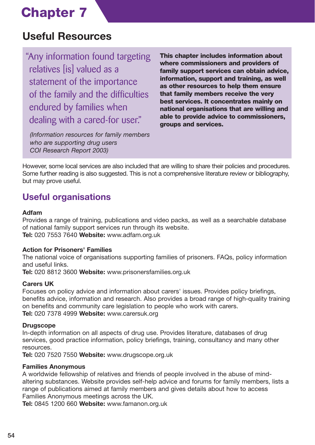## **Useful Resources**

"Any information found targeting relatives [is] valued as a statement of the importance of the family and the difficulties endured by families when dealing with a cared-for user."

*(Information resources for family members who are supporting drug users COI Research Report 2003)*

**This chapter includes information about where commissioners and providers of family support services can obtain advice, information, support and training, as well as other resources to help them ensure that family members receive the very best services. It concentrates mainly on national organisations that are willing and able to provide advice to commissioners, groups and services.**

However, some local services are also included that are willing to share their policies and procedures. Some further reading is also suggested. This is not a comprehensive literature review or bibliography, but may prove useful.

## **Useful organisations**

#### **Adfam**

Provides a range of training, publications and video packs, as well as a searchable database of national family support services run through its website. **Tel:** 020 7553 7640 **Website:** www.adfam.org.uk

#### **Action for Prisoners' Families**

The national voice of organisations supporting families of prisoners. FAQs, policy information and useful links.

**Tel:** 020 8812 3600 **Website:** www.prisonersfamilies.org.uk

#### **Carers UK**

Focuses on policy advice and information about carers' issues. Provides policy briefings, benefits advice, information and research. Also provides a broad range of high-quality training on benefits and community care legislation to people who work with carers. **Tel:** 020 7378 4999 **Website:** www.carersuk.org

#### **Drugscope**

In-depth information on all aspects of drug use. Provides literature, databases of drug services, good practice information, policy briefings, training, consultancy and many other resources.

**Tel:** 020 7520 7550 **Website:** www.drugscope.org.uk

#### **Families Anonymous**

A worldwide fellowship of relatives and friends of people involved in the abuse of mindaltering substances. Website provides self-help advice and forums for family members, lists a range of publications aimed at family members and gives details about how to access Families Anonymous meetings across the UK.

**Tel:** 0845 1200 660 **Website:** www.famanon.org.uk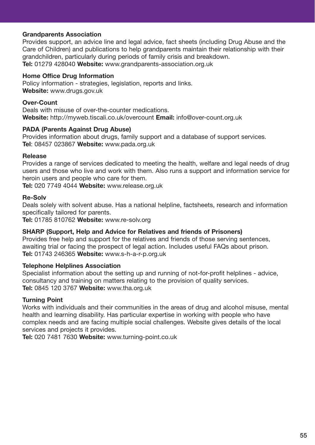#### **Grandparents Association**

Provides support, an advice line and legal advice, fact sheets (including Drug Abuse and the Care of Children) and publications to help grandparents maintain their relationship with their grandchildren, particularly during periods of family crisis and breakdown. **Tel:** 01279 428040 **Website:** www.grandparents-association.org.uk

#### **Home Office Drug Information**

Policy information - strategies, legislation, reports and links. **Website:** www.drugs.gov.uk

#### **Over-Count**

Deals with misuse of over-the-counter medications. **Website:** http://myweb.tiscali.co.uk/overcount **Email:** info@over-count.org.uk

#### **PADA (Parents Against Drug Abuse)**

Provides information about drugs, family support and a database of support services. **Tel**: 08457 023867 **Website:** www.pada.org.uk

#### **Release**

Provides a range of services dedicated to meeting the health, welfare and legal needs of drug users and those who live and work with them. Also runs a support and information service for heroin users and people who care for them.

**Tel:** 020 7749 4044 **Website:** www.release.org.uk

#### **Re-Solv**

Deals solely with solvent abuse. Has a national helpline, factsheets, research and information specifically tailored for parents.

**Tel:** 01785 810762 **Website:** www.re-solv.org

#### **SHARP (Support, Help and Advice for Relatives and friends of Prisoners)**

Provides free help and support for the relatives and friends of those serving sentences, awaiting trial or facing the prospect of legal action. Includes useful FAQs about prison. **Tel:** 01743 246365 **Website:** www.s-h-a-r-p.org.uk

#### **Telephone Helplines Association**

Specialist information about the setting up and running of not-for-profit helplines - advice, consultancy and training on matters relating to the provision of quality services. **Tel:** 0845 120 3767 **Website:** www.tha.org.uk

#### **Turning Point**

Works with individuals and their communities in the areas of drug and alcohol misuse, mental health and learning disability. Has particular expertise in working with people who have complex needs and are facing multiple social challenges. Website gives details of the local services and projects it provides.

**Tel:** 020 7481 7630 **Website:** www.turning-point.co.uk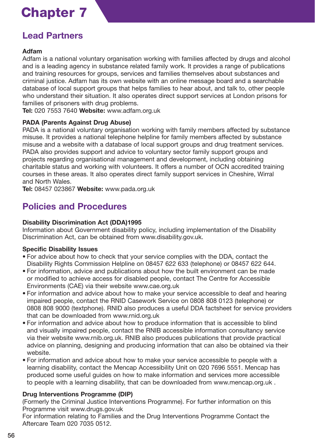## **Lead Partners**

#### **Adfam**

Adfam is a national voluntary organisation working with families affected by drugs and alcohol and is a leading agency in substance related family work. It provides a range of publications and training resources for groups, services and families themselves about substances and criminal justice. Adfam has its own website with an online message board and a searchable database of local support groups that helps families to hear about, and talk to, other people who understand their situation. It also operates direct support services at London prisons for families of prisoners with drug problems.

**Tel:** 020 7553 7640 **Website:** www.adfam.org.uk

#### **PADA (Parents Against Drug Abuse)**

PADA is a national voluntary organisation working with family members affected by substance misuse. It provides a national telephone helpline for family members affected by substance misuse and a website with a database of local support groups and drug treatment services. PADA also provides support and advice to voluntary sector family support groups and projects regarding organisational management and development, including obtaining charitable status and working with volunteers. It offers a number of OCN accredited training courses in these areas. It also operates direct family support services in Cheshire, Wirral and North Wales.

**Tel:** 08457 023867 **Website:** www.pada.org.uk

## **Policies and Procedures**

#### **Disability Discrimination Act (DDA)1995**

Information about Government disability policy, including implementation of the Disability Discrimination Act, can be obtained from www.disability.gov.uk.

#### **Specific Disability Issues**

- For advice about how to check that your service complies with the DDA, contact the Disability Rights Commission Helpline on 08457 622 633 (telephone) or 08457 622 644.
- For information, advice and publications about how the built environment can be made or modified to achieve access for disabled people, contact The Centre for Accessible Environments (CAE) via their website www.cae.org.uk
- For information and advice about how to make your service accessible to deaf and hearing impaired people, contact the RNID Casework Service on 0808 808 0123 (telephone) or 0808 808 9000 (textphone). RNID also produces a useful DDA factsheet for service providers that can be downloaded from www.rnid.org.uk
- For information and advice about how to produce information that is accessible to blind and visually impaired people, contact the RNIB accessible information consultancy service via their website www.rnib.org.uk. RNIB also produces publications that provide practical advice on planning, designing and producing information that can also be obtained via their website.
- For information and advice about how to make your service accessible to people with a learning disability, contact the Mencap Accessibility Unit on 020 7696 5551. Mencap has produced some useful guides on how to make information and services more accessible to people with a learning disability, that can be downloaded from www.mencap.org.uk .

#### **Drug Interventions Programme (DIP)**

(Formerly the Criminal Justice Interventions Programme). For further information on this Programme visit www.drugs.gov.uk

For information relating to Families and the Drug Interventions Programme Contact the Aftercare Team 020 7035 0512.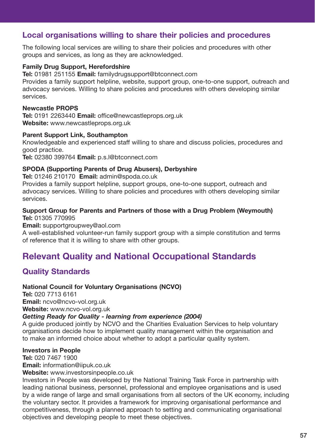## **Local organisations willing to share their policies and procedures**

The following local services are willing to share their policies and procedures with other groups and services, as long as they are acknowledged.

#### **Family Drug Support, Herefordshire**

**Tel:** 01981 251155 **Email:** familydrugsupport@btconnect.com

Provides a family support helpline, website, support group, one-to-one support, outreach and advocacy services. Willing to share policies and procedures with others developing similar services.

#### **Newcastle PROPS**

**Tel:** 0191 2263440 **Email:** office@newcastleprops.org.uk **Website:** www.newcastleprops.org.uk

#### **Parent Support Link, Southampton**

Knowledgeable and experienced staff willing to share and discuss policies, procedures and good practice.

**Tel:** 02380 399764 **Email:** p.s.l@btconnect.com

#### **SPODA (Supporting Parents of Drug Abusers), Derbyshire**

**Tel:** 01246 210170 **Email:** admin@spoda.co.uk

Provides a family support helpline, support groups, one-to-one support, outreach and advocacy services. Willing to share policies and procedures with others developing similar services.

#### **Support Group for Parents and Partners of those with a Drug Problem (Weymouth) Tel:** 01305 770995

**Email:** supportgroupwey@aol.com

A well-established volunteer-run family support group with a simple constitution and terms of reference that it is willing to share with other groups.

## **Relevant Quality and National Occupational Standards**

## **Quality Standards**

#### **National Council for Voluntary Organisations (NCVO)**

**Tel:** 020 7713 6161 **Email:** ncvo@ncvo-vol.org.uk **Website:** www.ncvo-vol.org.uk

#### *Getting Ready for Quality - learning from experience (2004)*

A guide produced jointly by NCVO and the Charities Evaluation Services to help voluntary organisations decide how to implement quality management within the organisation and to make an informed choice about whether to adopt a particular quality system.

#### **Investors in People**

**Tel:** 020 7467 1900 **Email:** information@iipuk.co.uk

**Website:** www.investorsinpeople.co.uk

Investors in People was developed by the National Training Task Force in partnership with leading national business, personnel, professional and employee organisations and is used by a wide range of large and small organisations from all sectors of the UK economy, including the voluntary sector. It provides a framework for improving organisational performance and competitiveness, through a planned approach to setting and communicating organisational objectives and developing people to meet these objectives.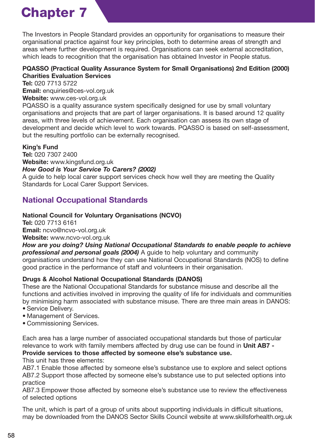The Investors in People Standard provides an opportunity for organisations to measure their organisational practice against four key principles, both to determine areas of strength and areas where further development is required. Organisations can seek external accreditation, which leads to recognition that the organisation has obtained Investor in People status.

#### **PQASSO (Practical Quality Assurance System for Small Organisations) 2nd Edition (2000) Charities Evaluation Services**

**Tel:** 020 7713 5722

**Email:** enquiries@ces-vol.org.uk

#### **Website:** www.ces-vol.org.uk

PQASSO is a quality assurance system specifically designed for use by small voluntary organisations and projects that are part of larger organisations. It is based around 12 quality areas, with three levels of achievement. Each organisation can assess its own stage of development and decide which level to work towards. PQASSO is based on self-assessment, but the resulting portfolio can be externally recognised.

#### **King's Fund**

**Tel:** 020 7307 2400 **Website:** www.kingsfund.org.uk

#### *How Good is Your Service To Carers? (2002)*

A guide to help local carer support services check how well they are meeting the Quality Standards for Local Carer Support Services.

## **National Occupational Standards**

### **National Council for Voluntary Organisations (NCVO)**

**Tel:** 020 7713 6161 **Email:** ncvo@ncvo-vol.org.uk **Website:** www.ncvo-vol.org.uk

*How are you doing? Using National Occupational Standards to enable people to achieve professional and personal goals (2004)* A guide to help voluntary and community organisations understand how they can use National Occupational Standards (NOS) to define good practice in the performance of staff and volunteers in their organisation.

#### **Drugs & Alcohol National Occupational Standards (DANOS)**

These are the National Occupational Standards for substance misuse and describe all the functions and activities involved in improving the quality of life for individuals and communities by minimising harm associated with substance misuse. There are three main areas in DANOS:

- Service Delivery.
- Management of Services.
- Commissioning Services.

Each area has a large number of associated occupational standards but those of particular relevance to work with family members affected by drug use can be found in **Unit AB7 - Provide services to those affected by someone else's substance use.**

This unit has three elements:

AB7.1 Enable those affected by someone else's substance use to explore and select options AB7.2 Support those affected by someone else's substance use to put selected options into practice

AB7.3 Empower those affected by someone else's substance use to review the effectiveness of selected options

The unit, which is part of a group of units about supporting individuals in difficult situations, may be downloaded from the DANOS Sector Skills Council website at www.skillsforhealth.org.uk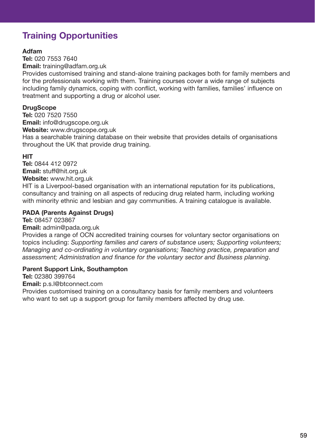## **Training Opportunities**

#### **Adfam**

**Tel:** 020 7553 7640 **Email:** training@adfam.org.uk

Provides customised training and stand-alone training packages both for family members and for the professionals working with them. Training courses cover a wide range of subjects including family dynamics, coping with conflict, working with families, families' influence on treatment and supporting a drug or alcohol user.

#### **DrugScope**

**Tel:** 020 7520 7550 **Email:** info@drugscope.org.uk

**Website:** www.drugscope.org.uk

Has a searchable training database on their website that provides details of organisations throughout the UK that provide drug training.

#### **HIT**

**Tel:** 0844 412 0972 **Email:** stuff@hit.org.uk

**Website:** www.hit.org.uk

HIT is a Liverpool-based organisation with an international reputation for its publications, consultancy and training on all aspects of reducing drug related harm, including working with minority ethnic and lesbian and gay communities. A training catalogue is available.

#### **PADA (Parents Against Drugs)**

**Tel:** 08457 023867

#### **Email:** admin@pada.org.uk

Provides a range of OCN accredited training courses for voluntary sector organisations on topics including: *Supporting families and carers of substance users; Supporting volunteers; Managing and co-ordinating in voluntary organisations; Teaching practice, preparation and assessment; Administration and finance for the voluntary sector and Business planning*.

#### **Parent Support Link, Southampton**

**Tel:** 02380 399764

**Email:** p.s.l@btconnect.com

Provides customised training on a consultancy basis for family members and volunteers who want to set up a support group for family members affected by drug use.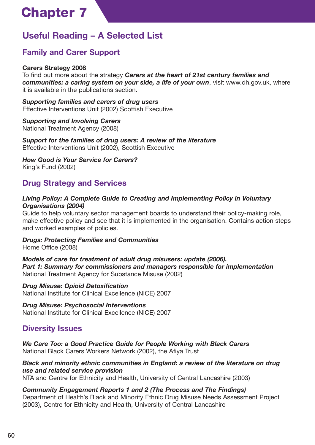## **Useful Reading – A Selected List**

## **Family and Carer Support**

#### **Carers Strategy 2008**

To find out more about the strategy *Carers at the heart of 21st century families and communities: a caring system on your side, a life of your own*, visit www.dh.gov.uk, where it is available in the publications section.

*Supporting families and carers of drug users* Effective Interventions Unit (2002) Scottish Executive

*Supporting and Involving Carers* National Treatment Agency (2008)

*Support for the families of drug users: A review of the literature* Effective Interventions Unit (2002), Scottish Executive

*How Good is Your Service for Carers?* King's Fund (2002)

## **Drug Strategy and Services**

#### *Living Policy: A Complete Guide to Creating and Implementing Policy in Voluntary Organisations (2004)*

Guide to help voluntary sector management boards to understand their policy-making role, make effective policy and see that it is implemented in the organisation. Contains action steps and worked examples of policies.

*Drugs: Protecting Families and Communities*

Home Office (2008)

*Models of care for treatment of adult drug misusers: update (2006). Part 1: Summary for commissioners and managers responsible for implementation* National Treatment Agency for Substance Misuse (2002)

#### *Drug Misuse: Opioid Detoxification*

National Institute for Clinical Excellence (NICE) 2007

*Drug Misuse: Psychosocial Interventions* National Institute for Clinical Excellence (NICE) 2007

## **Diversity Issues**

*We Care Too: a Good Practice Guide for People Working with Black Carers* National Black Carers Workers Network (2002), the Afiya Trust

#### *Black and minority ethnic communities in England: a review of the literature on drug use and related service provision*

NTA and Centre for Ethnicity and Health, University of Central Lancashire (2003)

*Community Engagement Reports 1 and 2 (The Process and The Findings)* Department of Health's Black and Minority Ethnic Drug Misuse Needs Assessment Project (2003), Centre for Ethnicity and Health, University of Central Lancashire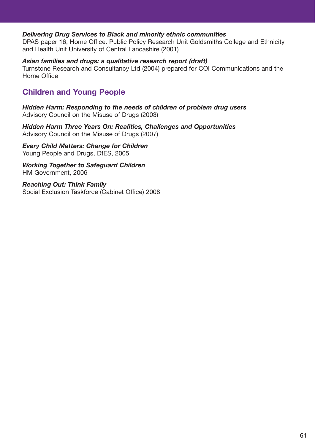#### *Delivering Drug Services to Black and minority ethnic communities*

DPAS paper 16, Home Office. Public Policy Research Unit Goldsmiths College and Ethnicity and Health Unit University of Central Lancashire (2001)

#### *Asian families and drugs: a qualitative research report (draft)*

Turnstone Research and Consultancy Ltd (2004) prepared for COI Communications and the Home Office

## **Children and Young People**

*Hidden Harm: Responding to the needs of children of problem drug users*  Advisory Council on the Misuse of Drugs (2003)

*Hidden Harm Three Years On: Realities, Challenges and Opportunities* Advisory Council on the Misuse of Drugs (2007)

*Every Child Matters: Change for Children* Young People and Drugs, DfES, 2005

*Working Together to Safeguard Children* HM Government, 2006

*Reaching Out: Think Family* Social Exclusion Taskforce (Cabinet Office) 2008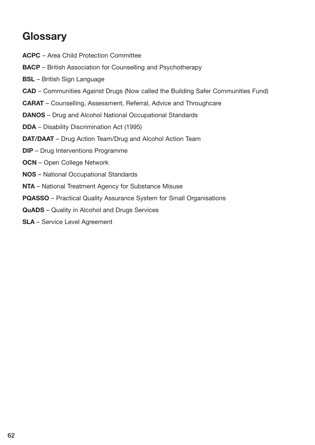## **Glossary**

- **ACPC** Area Child Protection Committee
- **BACP** British Association for Counselling and Psychotherapy
- **BSL** British Sign Language
- **CAD** Communities Against Drugs (Now called the Building Safer Communities Fund)
- **CARAT** Counselling, Assessment, Referral, Advice and Throughcare
- **DANOS** Drug and Alcohol National Occupational Standards
- **DDA** Disability Discrimination Act (1995)
- **DAT/DAAT** Drug Action Team/Drug and Alcohol Action Team
- **DIP** Drug Interventions Programme
- **OCN** Open College Network
- **NOS** National Occupational Standards
- **NTA** National Treatment Agency for Substance Misuse
- **PQASSO** Practical Quality Assurance System for Small Organisations
- **QuADS** Quality in Alcohol and Drugs Services
- **SLA** Service Level Agreement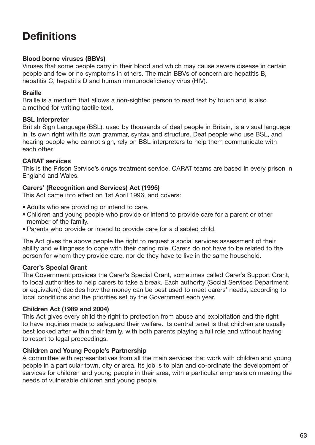## **Definitions**

#### **Blood borne viruses (BBVs)**

Viruses that some people carry in their blood and which may cause severe disease in certain people and few or no symptoms in others. The main BBVs of concern are hepatitis B, hepatitis C, hepatitis D and human immunodeficiency virus (HIV).

#### **Braille**

Braille is a medium that allows a non-sighted person to read text by touch and is also a method for writing tactile text.

#### **BSL interpreter**

British Sign Language (BSL), used by thousands of deaf people in Britain, is a visual language in its own right with its own grammar, syntax and structure. Deaf people who use BSL, and hearing people who cannot sign, rely on BSL interpreters to help them communicate with each other.

#### **CARAT services**

This is the Prison Service's drugs treatment service. CARAT teams are based in every prison in England and Wales.

#### **Carers' (Recognition and Services) Act (1995)**

This Act came into effect on 1st April 1996, and covers:

- Adults who are providing or intend to care.
- Children and young people who provide or intend to provide care for a parent or other member of the family.
- Parents who provide or intend to provide care for a disabled child.

The Act gives the above people the right to request a social services assessment of their ability and willingness to cope with their caring role. Carers do not have to be related to the person for whom they provide care, nor do they have to live in the same household.

#### **Carer's Special Grant**

The Government provides the Carer's Special Grant, sometimes called Carer's Support Grant, to local authorities to help carers to take a break. Each authority (Social Services Department or equivalent) decides how the money can be best used to meet carers' needs, according to local conditions and the priorities set by the Government each year.

#### **Children Act (1989 and 2004)**

This Act gives every child the right to protection from abuse and exploitation and the right to have inquiries made to safeguard their welfare. Its central tenet is that children are usually best looked after within their family, with both parents playing a full role and without having to resort to legal proceedings.

#### **Children and Young People's Partnership**

A committee with representatives from all the main services that work with children and young people in a particular town, city or area. Its job is to plan and co-ordinate the development of services for children and young people in their area, with a particular emphasis on meeting the needs of vulnerable children and young people.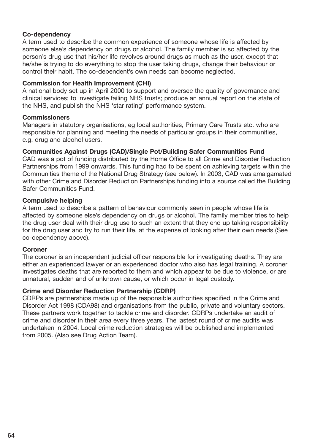#### **Co-dependency**

A term used to describe the common experience of someone whose life is affected by someone else's dependency on drugs or alcohol. The family member is so affected by the person's drug use that his/her life revolves around drugs as much as the user, except that he/she is trying to do everything to stop the user taking drugs, change their behaviour or control their habit. The co-dependent's own needs can become neglected.

#### **Commission for Health Improvement (CHI)**

A national body set up in April 2000 to support and oversee the quality of governance and clinical services; to investigate failing NHS trusts; produce an annual report on the state of the NHS, and publish the NHS 'star rating' performance system.

#### **Commissioners**

Managers in statutory organisations, eg local authorities, Primary Care Trusts etc. who are responsible for planning and meeting the needs of particular groups in their communities, e.g. drug and alcohol users.

#### **Communities Against Drugs (CAD)/Single Pot/Building Safer Communities Fund**

CAD was a pot of funding distributed by the Home Office to all Crime and Disorder Reduction Partnerships from 1999 onwards. This funding had to be spent on achieving targets within the Communities theme of the National Drug Strategy (see below). In 2003, CAD was amalgamated with other Crime and Disorder Reduction Partnerships funding into a source called the Building Safer Communities Fund.

#### **Compulsive helping**

A term used to describe a pattern of behaviour commonly seen in people whose life is affected by someone else's dependency on drugs or alcohol. The family member tries to help the drug user deal with their drug use to such an extent that they end up taking responsibility for the drug user and try to run their life, at the expense of looking after their own needs (See co-dependency above).

#### **Coroner**

The coroner is an independent judicial officer responsible for investigating deaths. They are either an experienced lawyer or an experienced doctor who also has legal training. A coroner investigates deaths that are reported to them and which appear to be due to violence, or are unnatural, sudden and of unknown cause, or which occur in legal custody.

#### **Crime and Disorder Reduction Partnership (CDRP)**

CDRPs are partnerships made up of the responsible authorities specified in the Crime and Disorder Act 1998 (CDA98) and organisations from the public, private and voluntary sectors. These partners work together to tackle crime and disorder. CDRPs undertake an audit of crime and disorder in their area every three years. The lastest round of crime audits was undertaken in 2004. Local crime reduction strategies will be published and implemented from 2005. (Also see Drug Action Team).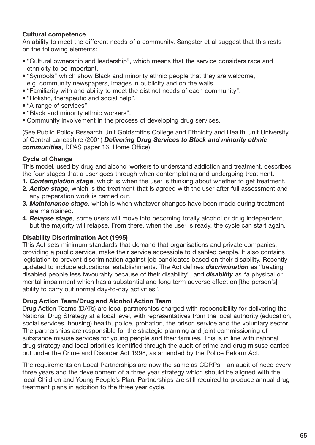#### **Cultural competence**

An ability to meet the different needs of a community. Sangster et al suggest that this rests on the following elements:

- "Cultural ownership and leadership", which means that the service considers race and ethnicity to be important.
- "Symbols" which show Black and minority ethnic people that they are welcome, e.g. community newspapers, images in publicity and on the walls.
- "Familiarity with and ability to meet the distinct needs of each community".
- "Holistic, therapeutic and social help".
- "A range of services".
- "Black and minority ethnic workers".
- Community involvement in the process of developing drug services.

(See Public Policy Research Unit Goldsmiths College and Ethnicity and Health Unit University of Central Lancashire (2001) *Delivering Drug Services to Black and minority ethnic communities*, DPAS paper 16, Home Office)

#### **Cycle of Change**

This model, used by drug and alcohol workers to understand addiction and treatment, describes the four stages that a user goes through when contemplating and undergoing treatment.

- **1.** *Contemplation stage*, which is when the user is thinking about whether to get treatment.
- **2.** *Action stage*, which is the treatment that is agreed with the user after full assessment and any preparation work is carried out.
- **3.** *Maintenance stage*, which is when whatever changes have been made during treatment are maintained.
- **4.** *Relapse stage*, some users will move into becoming totally alcohol or drug independent, but the majority will relapse. From there, when the user is ready, the cycle can start again.

#### **Disability Discrimination Act (1995)**

This Act sets minimum standards that demand that organisations and private companies, providing a public service, make their service accessible to disabled people. It also contains legislation to prevent discrimination against job candidates based on their disability. Recently updated to include educational establishments. The Act defines *discrimination* as "treating disabled people less favourably because of their disability", and *disability* as "a physical or mental impairment which has a substantial and long term adverse effect on [the person's] ability to carry out normal day-to-day activities".

#### **Drug Action Team/Drug and Alcohol Action Team**

Drug Action Teams (DATs) are local partnerships charged with responsibility for delivering the National Drug Strategy at a local level, with representatives from the local authority (education, social services, housing) health, police, probation, the prison service and the voluntary sector. The partnerships are responsible for the strategic planning and joint commissioning of substance misuse services for young people and their families. This is in line with national drug strategy and local priorities identified through the audit of crime and drug misuse carried out under the Crime and Disorder Act 1998, as amended by the Police Reform Act.

The requirements on Local Partnerships are now the same as CDRPs – an audit of need every three years and the development of a three year strategy which should be aligned with the local Children and Young People's Plan. Partnerships are still required to produce annual drug treatment plans in addition to the three year cycle.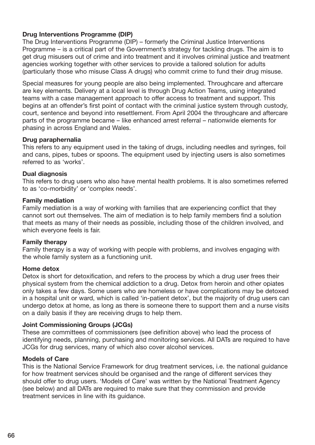#### **Drug Interventions Programme (DIP)**

The Drug Interventions Programme (DIP) – formerly the Criminal Justice Interventions Programme – is a critical part of the Government's strategy for tackling drugs. The aim is to get drug misusers out of crime and into treatment and it involves criminal justice and treatment agencies working together with other services to provide a tailored solution for adults (particularly those who misuse Class A drugs) who commit crime to fund their drug misuse.

Special measures for young people are also being implemented. Throughcare and aftercare are key elements. Delivery at a local level is through Drug Action Teams, using integrated teams with a case management approach to offer access to treatment and support. This begins at an offender's first point of contact with the criminal justice system through custody, court, sentence and beyond into resettlement. From April 2004 the throughcare and aftercare parts of the programme became – like enhanced arrest referral – nationwide elements for phasing in across England and Wales.

#### **Drug paraphernalia**

This refers to any equipment used in the taking of drugs, including needles and syringes, foil and cans, pipes, tubes or spoons. The equipment used by injecting users is also sometimes referred to as 'works'.

#### **Dual diagnosis**

This refers to drug users who also have mental health problems. It is also sometimes referred to as 'co-morbidity' or 'complex needs'.

#### **Family mediation**

Family mediation is a way of working with families that are experiencing conflict that they cannot sort out themselves. The aim of mediation is to help family members find a solution that meets as many of their needs as possible, including those of the children involved, and which everyone feels is fair.

#### **Family therapy**

Family therapy is a way of working with people with problems, and involves engaging with the whole family system as a functioning unit.

#### **Home detox**

Detox is short for detoxification, and refers to the process by which a drug user frees their physical system from the chemical addiction to a drug. Detox from heroin and other opiates only takes a few days. Some users who are homeless or have complications may be detoxed in a hospital unit or ward, which is called 'in-patient detox', but the majority of drug users can undergo detox at home, as long as there is someone there to support them and a nurse visits on a daily basis if they are receiving drugs to help them.

#### **Joint Commissioning Groups (JCGs)**

These are committees of commissioners (see definition above) who lead the process of identifying needs, planning, purchasing and monitoring services. All DATs are required to have JCGs for drug services, many of which also cover alcohol services.

#### **Models of Care**

This is the National Service Framework for drug treatment services, i.e. the national guidance for how treatment services should be organised and the range of different services they should offer to drug users. 'Models of Care' was written by the National Treatment Agency (see below) and all DATs are required to make sure that they commission and provide treatment services in line with its guidance.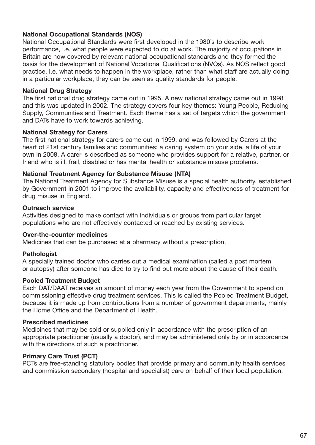#### **National Occupational Standards (NOS)**

National Occupational Standards were first developed in the 1980's to describe work performance, i.e. what people were expected to do at work. The majority of occupations in Britain are now covered by relevant national occupational standards and they formed the basis for the development of National Vocational Qualifications (NVQs). As NOS reflect good practice, i.e. what needs to happen in the workplace, rather than what staff are actually doing in a particular workplace, they can be seen as quality standards for people.

#### **National Drug Strategy**

The first national drug strategy came out in 1995. A new national strategy came out in 1998 and this was updated in 2002. The strategy covers four key themes: Young People, Reducing Supply, Communities and Treatment. Each theme has a set of targets which the government and DATs have to work towards achieving.

#### **National Strategy for Carers**

The first national strategy for carers came out in 1999, and was followed by Carers at the heart of 21st century families and communities: a caring system on your side, a life of your own in 2008. A carer is described as someone who provides support for a relative, partner, or friend who is ill, frail, disabled or has mental health or substance misuse problems.

#### **National Treatment Agency for Substance Misuse (NTA)**

The National Treatment Agency for Substance Misuse is a special health authority, established by Government in 2001 to improve the availability, capacity and effectiveness of treatment for drug misuse in England.

#### **Outreach service**

Activities designed to make contact with individuals or groups from particular target populations who are not effectively contacted or reached by existing services.

#### **Over-the-counter medicines**

Medicines that can be purchased at a pharmacy without a prescription.

#### **Pathologist**

A specially trained doctor who carries out a medical examination (called a post mortem or autopsy) after someone has died to try to find out more about the cause of their death.

#### **Pooled Treatment Budget**

Each DAT/DAAT receives an amount of money each year from the Government to spend on commissioning effective drug treatment services. This is called the Pooled Treatment Budget, because it is made up from contributions from a number of government departments, mainly the Home Office and the Department of Health.

#### **Prescribed medicines**

Medicines that may be sold or supplied only in accordance with the prescription of an appropriate practitioner (usually a doctor), and may be administered only by or in accordance with the directions of such a practitioner.

#### **Primary Care Trust (PCT)**

PCTs are free-standing statutory bodies that provide primary and community health services and commission secondary (hospital and specialist) care on behalf of their local population.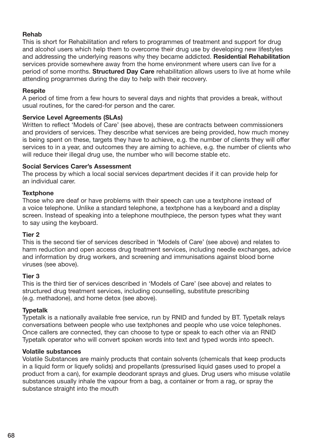#### **Rehab**

This is short for Rehabilitation and refers to programmes of treatment and support for drug and alcohol users which help them to overcome their drug use by developing new lifestyles and addressing the underlying reasons why they became addicted. **Residential Rehabilitation** services provide somewhere away from the home environment where users can live for a period of some months. **Structured Day Care** rehabilitation allows users to live at home while attending programmes during the day to help with their recovery.

#### **Respite**

A period of time from a few hours to several days and nights that provides a break, without usual routines, for the cared-for person and the carer.

#### **Service Level Agreements (SLAs)**

Written to reflect 'Models of Care' (see above), these are contracts between commissioners and providers of services. They describe what services are being provided, how much money is being spent on these, targets they have to achieve, e.g. the number of clients they will offer services to in a year, and outcomes they are aiming to achieve, e.g. the number of clients who will reduce their illegal drug use, the number who will become stable etc.

#### **Social Services Carer's Assessment**

The process by which a local social services department decides if it can provide help for an individual carer.

#### **Textphone**

Those who are deaf or have problems with their speech can use a textphone instead of a voice telephone. Unlike a standard telephone, a textphone has a keyboard and a display screen. Instead of speaking into a telephone mouthpiece, the person types what they want to say using the keyboard.

#### **Tier 2**

This is the second tier of services described in 'Models of Care' (see above) and relates to harm reduction and open access drug treatment services, including needle exchanges, advice and information by drug workers, and screening and immunisations against blood borne viruses (see above).

#### **Tier 3**

This is the third tier of services described in 'Models of Care' (see above) and relates to structured drug treatment services, including counselling, substitute prescribing (e.g. methadone), and home detox (see above).

#### **Typetalk**

Typetalk is a nationally available free service, run by RNID and funded by BT. Typetalk relays conversations between people who use textphones and people who use voice telephones. Once callers are connected, they can choose to type or speak to each other via an RNID Typetalk operator who will convert spoken words into text and typed words into speech.

#### **Volatile substances**

Volatile Substances are mainly products that contain solvents (chemicals that keep products in a liquid form or liquefy solids) and propellants (pressurised liquid gases used to propel a product from a can), for example deodorant sprays and glues. Drug users who misuse volatile substances usually inhale the vapour from a bag, a container or from a rag, or spray the substance straight into the mouth